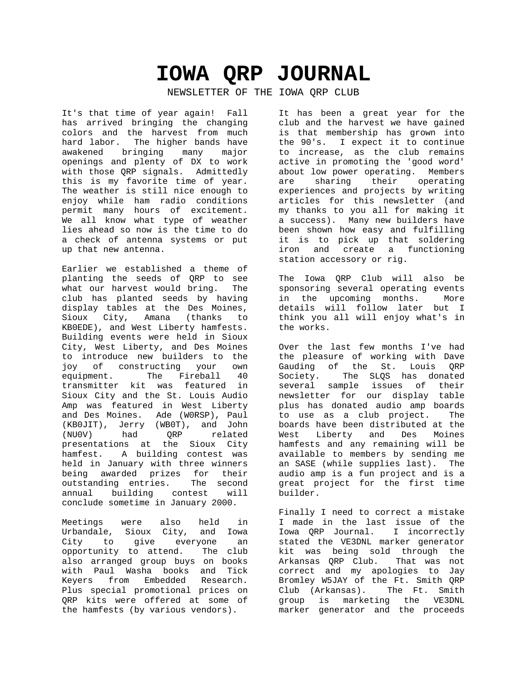# **IOWA QRP JOURNAL**

NEWSLETTER OF THE IOWA QRP CLUB

It's that time of year again! Fall has arrived bringing the changing colors and the harvest from much hard labor. The higher bands have awakened bringing many major openings and plenty of DX to work with those QRP signals. Admittedly this is my favorite time of year. The weather is still nice enough to enjoy while ham radio conditions permit many hours of excitement. We all know what type of weather lies ahead so now is the time to do a check of antenna systems or put up that new antenna.

Earlier we established a theme of planting the seeds of QRP to see what our harvest would bring. The club has planted seeds by having display tables at the Des Moines, Sioux City, Amana (thanks to KB0EDE), and West Liberty hamfests. Building events were held in Sioux City, West Liberty, and Des Moines to introduce new builders to the joy of constructing your own<br>equipment. The Fireball 40 The Fireball 40 transmitter kit was featured in Sioux City and the St. Louis Audio Amp was featured in West Liberty and Des Moines. Ade (W0RSP), Paul (KB0JIT), Jerry (WB0T), and John (NU0V) had QRP related presentations at the Sioux City .<br>hamfest. A building contest was held in January with three winners being awarded prizes for their outstanding entries. The second annual building contest will conclude sometime in January 2000.

Meetings were also held in Urbandale, Sioux City, and Iowa City to give everyone an opportunity to attend. The club also arranged group buys on books with Paul Washa books and Tick Keyers from Embedded Research. Plus special promotional prices on QRP kits were offered at some of the hamfests (by various vendors).

It has been a great year for the club and the harvest we have gained is that membership has grown into the 90's. I expect it to continue to increase, as the club remains active in promoting the 'good word' about low power operating. Members are sharing their operating experiences and projects by writing articles for this newsletter (and my thanks to you all for making it a success). Many new builders have been shown how easy and fulfilling it is to pick up that soldering iron and create a functioning station accessory or rig.

The Iowa QRP Club will also be sponsoring several operating events in the upcoming months. More details will follow later but I think you all will enjoy what's in the works.

Over the last few months I've had the pleasure of working with Dave Gauding of the St. Louis QRP Society. The SLQS has donated several sample issues of their newsletter for our display table plus has donated audio amp boards to use as a club project. The boards have been distributed at the West Liberty and Des Moines hamfests and any remaining will be available to members by sending me an SASE (while supplies last). The audio amp is a fun project and is a great project for the first time builder.

Finally I need to correct a mistake I made in the last issue of the Iowa QRP Journal. I incorrectly stated the VE3DNL marker generator kit was being sold through the Arkansas QRP Club. That was not correct and my apologies to Jay Bromley W5JAY of the Ft. Smith QRP Club (Arkansas). The Ft. Smith group is marketing the VE3DNL marker generator and the proceeds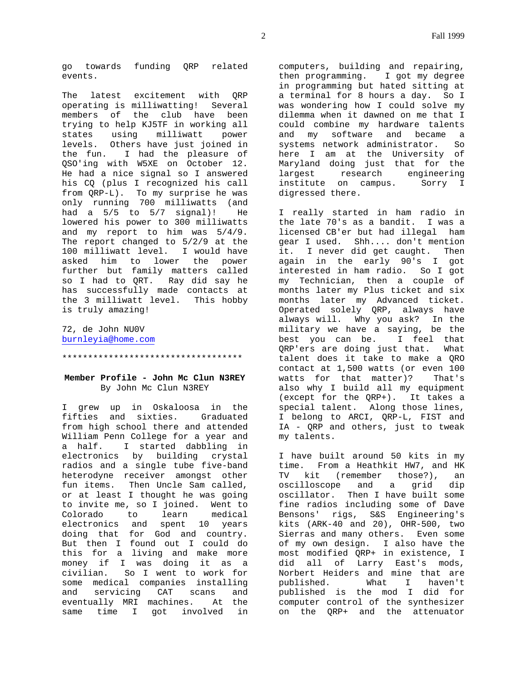go towards funding QRP related events.

The latest excitement with QRP operating is milliwatting! Several members of the club have been trying to help KJ5TF in working all states using milliwatt power levels. Others have just joined in the fun. I had the pleasure of QSO'ing with W5XE on October 12. He had a nice signal so I answered his CQ (plus I recognized his call from QRP-L). To my surprise he was only running 700 milliwatts (and had a  $5/5$  to  $5/7$  signal)! He lowered his power to 300 milliwatts and my report to him was 5/4/9. The report changed to 5/2/9 at the 100 milliwatt level. I would have asked him to lower the power further but family matters called so I had to QRT. Ray did say he has successfully made contacts at the 3 milliwatt level. This hobby is truly amazing!

72, de John NU0V burnleyia@home.com

\*\*\*\*\*\*\*\*\*\*\*\*\*\*\*\*\*\*\*\*\*\*\*\*\*\*\*\*\*\*\*\*\*\*\*

# **Member Profile - John Mc Clun N3REY** By John Mc Clun N3REY

I grew up in Oskaloosa in the fifties and sixties. Graduated from high school there and attended William Penn College for a year and a half. I started dabbling in electronics by building crystal radios and a single tube five-band heterodyne receiver amongst other fun items. Then Uncle Sam called, or at least I thought he was going to invite me, so I joined. Went to Colorado to learn medical electronics and spent 10 years doing that for God and country. But then I found out I could do this for a living and make more money if I was doing it as a civilian. So I went to work for some medical companies installing and servicing CAT scans and<br>eventually MRI machines. At the eventually MRI machines. same time I got involved in

computers, building and repairing, then programming. I got my degree in programming but hated sitting at a terminal for 8 hours a day. So I was wondering how I could solve my dilemma when it dawned on me that I could combine my hardware talents and my software and became a systems network administrator. So here I am at the University of Maryland doing just that for the largest research engineering institute on campus. Sorry I digressed there.

I really started in ham radio in the late 70's as a bandit. I was a licensed CB'er but had illegal ham gear I used. Shh.... don't mention it. I never did get caught. Then again in the early 90's I got interested in ham radio. So I got my Technician, then a couple of months later my Plus ticket and six months later my Advanced ticket. Operated solely QRP, always have always will. Why you ask? In the military we have a saying, be the best you can be. I feel that QRP'ers are doing just that. What talent does it take to make a QRO contact at 1,500 watts (or even 100 watts for that matter)? That's also why I build all my equipment (except for the QRP+). It takes a special talent. Along those lines, I belong to ARCI, QRP-L, FIST and IA - QRP and others, just to tweak my talents.

I have built around 50 kits in my time. From a Heathkit HW7, and HK TV kit (remember those?), an oscilloscope and a grid dip oscillator. Then I have built some fine radios including some of Dave Bensons' rigs, S&S Engineering's kits (ARK-40 and 20), OHR-500, two Sierras and many others. Even some of my own design. I also have the most modified QRP+ in existence, I did all of Larry East's mods, Norbert Heiders and mine that are published. What I haven't published is the mod I did for computer control of the synthesizer on the QRP+ and the attenuator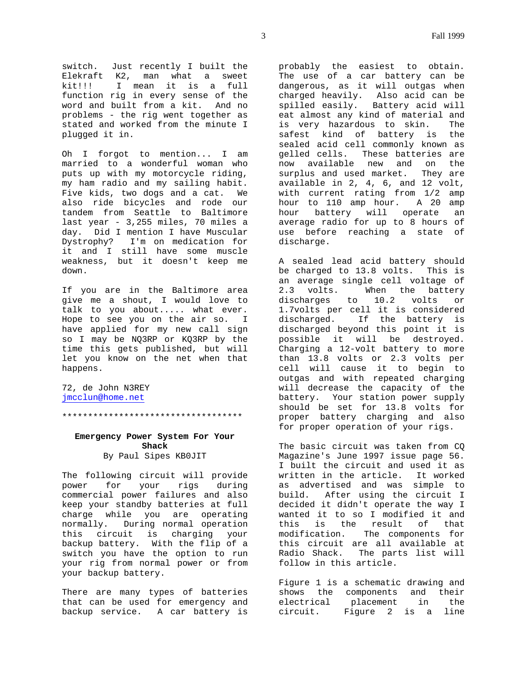switch. Just recently I built the Elekraft K2, man what a sweet kit!!! I mean it is a full function rig in every sense of the word and built from a kit. And no problems - the rig went together as stated and worked from the minute I plugged it in.

Oh I forgot to mention... I am married to a wonderful woman who puts up with my motorcycle riding, my ham radio and my sailing habit. Five kids, two dogs and a cat. We also ride bicycles and rode our tandem from Seattle to Baltimore last year - 3,255 miles, 70 miles a day. Did I mention I have Muscular Dystrophy? I'm on medication for it and I still have some muscle weakness, but it doesn't keep me down.

If you are in the Baltimore area give me a shout, I would love to talk to you about..... what ever. Hope to see you on the air so. I have applied for my new call sign so I may be NQ3RP or KQ3RP by the time this gets published, but will let you know on the net when that happens.

72, de John N3REY jmcclun@home.net

\*\*\*\*\*\*\*\*\*\*\*\*\*\*\*\*\*\*\*\*\*\*\*\*\*\*\*\*\*\*\*\*\*\*\*

# **Emergency Power System For Your Shack** By Paul Sipes KB0JIT

The following circuit will provide<br>power for your rigs during power for your rigs commercial power failures and also keep your standby batteries at full charge while you are operating normally. During normal operation this circuit is charging your backup battery. With the flip of a switch you have the option to run your rig from normal power or from your backup battery.

There are many types of batteries that can be used for emergency and backup service. A car battery is probably the easiest to obtain. The use of a car battery can be dangerous, as it will outgas when charged heavily. Also acid can be spilled easily. Battery acid will eat almost any kind of material and is very hazardous to skin. The safest kind of battery is the sealed acid cell commonly known as gelled cells. These batteries are now available new and on the surplus and used market. They are available in 2, 4, 6, and 12 volt, with current rating from 1/2 amp hour to 110 amp hour. A 20 amp hour battery will operate an average radio for up to 8 hours of use before reaching a state of discharge.

A sealed lead acid battery should be charged to 13.8 volts. This is an average single cell voltage of 2.3 volts. When the battery discharges to 10.2 volts or 1.7volts per cell it is considered discharged. If the battery is discharged beyond this point it is possible it will be destroyed. Charging a 12-volt battery to more than 13.8 volts or 2.3 volts per cell will cause it to begin to outgas and with repeated charging will decrease the capacity of the battery. Your station power supply should be set for 13.8 volts for proper battery charging and also for proper operation of your rigs.

The basic circuit was taken from CQ Magazine's June 1997 issue page 56. I built the circuit and used it as written in the article. It worked as advertised and was simple to build. After using the circuit I decided it didn't operate the way I wanted it to so I modified it and this is the result of that modification. The components for this circuit are all available at Radio Shack. The parts list will follow in this article.

Figure 1 is a schematic drawing and shows the components and their electrical placement in the circuit. Figure 2 is a line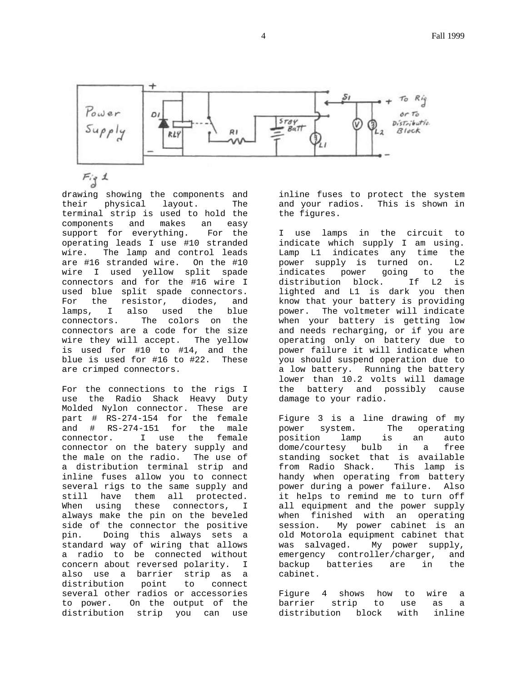

drawing showing the components and their physical layout. The terminal strip is used to hold the components and makes an easy support for everything. For the operating leads I use #10 stranded wire. The lamp and control leads are #16 stranded wire. On the #10 wire I used yellow split spade connectors and for the #16 wire I used blue split spade connectors. For the resistor, diodes, and lamps, I also used the blue connectors. The colors on the connectors are a code for the size wire they will accept. The yellow is used for #10 to #14, and the blue is used for #16 to #22. These are crimped connectors.

For the connections to the rigs I use the Radio Shack Heavy Duty Molded Nylon connector. These are part # RS-274-154 for the female and # RS-274-151 for the male connector. I use the female connector on the batery supply and the male on the radio. The use of a distribution terminal strip and inline fuses allow you to connect several rigs to the same supply and still have them all protected. When using these connectors, I always make the pin on the beveled side of the connector the positive pin. Doing this always sets a standard way of wiring that allows a radio to be connected without concern about reversed polarity. I also use a barrier strip as a distribution point to connect several other radios or accessories to power. On the output of the distribution strip you can use inline fuses to protect the system and your radios. This is shown in the figures.

I use lamps in the circuit to indicate which supply I am using. Lamp L1 indicates any time the power supply is turned on. L2 indicates power going to the distribution block. If L2 is lighted and L1 is dark you then know that your battery is providing power. The voltmeter will indicate when your battery is getting low and needs recharging, or if you are operating only on battery due to power failure it will indicate when you should suspend operation due to a low battery. Running the battery lower than 10.2 volts will damage the battery and possibly cause damage to your radio.

Figure 3 is a line drawing of my power system. The operating position lamp is an auto dome/courtesy bulb in a free standing socket that is available from Radio Shack. This lamp is handy when operating from battery power during a power failure. Also it helps to remind me to turn off all equipment and the power supply when finished with an operating session. My power cabinet is an old Motorola equipment cabinet that was salvaged. My power supply, emergency controller/charger, and backup batteries are in the cabinet.

Figure 4 shows how to wire a barrier strip to use as a distribution block with inline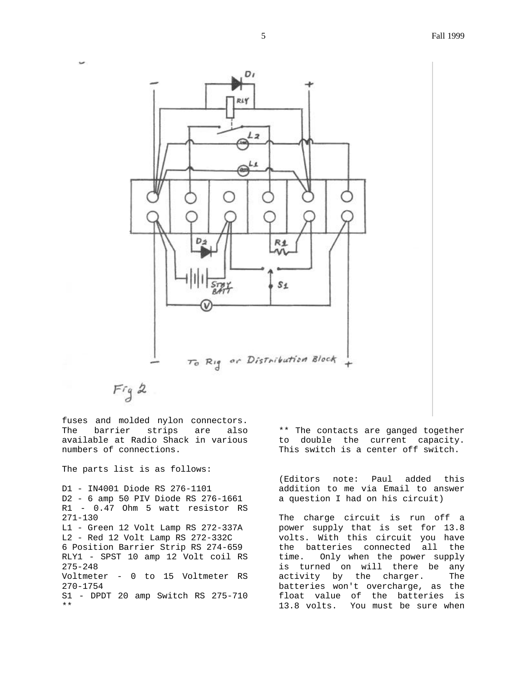

 $Fig 2$ 

 $\overline{\phantom{a}}$ 

fuses and molded nylon connectors. The barrier strips are also available at Radio Shack in various numbers of connections.

The parts list is as follows:

D1 - IN4001 Diode RS 276-1101 D2 - 6 amp 50 PIV Diode RS 276-1661 R1 - 0.47 Ohm 5 watt resistor RS 271-130 L1 - Green 12 Volt Lamp RS 272-337A L2 - Red 12 Volt Lamp RS 272-332C 6 Position Barrier Strip RS 274-659 RLY1 - SPST 10 amp 12 Volt coil RS 275-248 Voltmeter - 0 to 15 Voltmeter RS 270-1754 S1 - DPDT 20 amp Switch RS 275-710 \*\*

\*\* The contacts are ganged together to double the current capacity. This switch is a center off switch.

(Editors note: Paul added this addition to me via Email to answer a question I had on his circuit)

The charge circuit is run off a power supply that is set for 13.8 volts. With this circuit you have the batteries connected all the time. Only when the power supply is turned on will there be any activity by the charger. The batteries won't overcharge, as the float value of the batteries is 13.8 volts. You must be sure when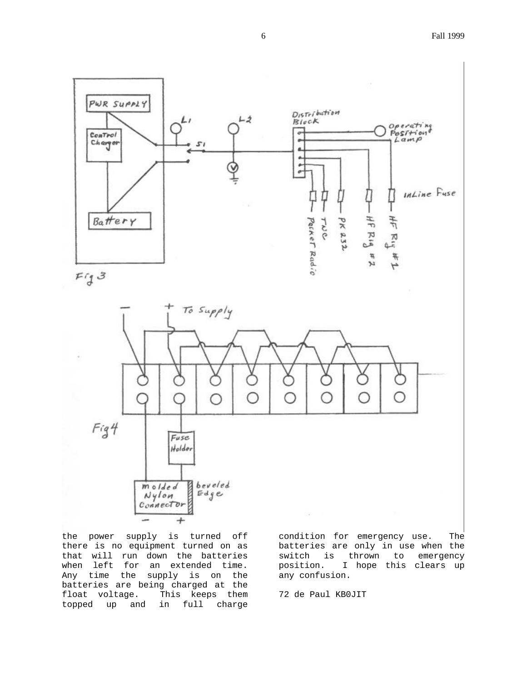



the power supply is turned off there is no equipment turned on as that will run down the batteries when left for an extended time. Any time the supply is on the batteries are being charged at the float voltage. This keeps them topped up and in full charge

condition for emergency use. The batteries are only in use when the switch is thrown to emergency position. I hope this clears up any confusion.

72 de Paul KB0JIT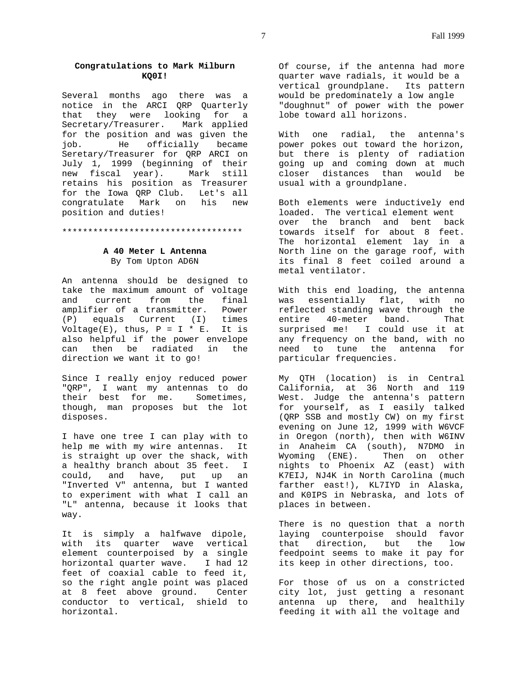# **Congratulations to Mark Milburn KQ0I!**

Several months ago there was a notice in the ARCI QRP Quarterly that they were looking for a Secretary/Treasurer. Mark applied for the position and was given the job. He officially became Seretary/Treasurer for QRP ARCI on July 1, 1999 (beginning of their new fiscal year). Mark still retains his position as Treasurer for the Iowa QRP Club. Let's all congratulate Mark on his new position and duties!

## \*\*\*\*\*\*\*\*\*\*\*\*\*\*\*\*\*\*\*\*\*\*\*\*\*\*\*\*\*\*\*\*\*\*\*

# **A 40 Meter L Antenna**

By Tom Upton AD6N

An antenna should be designed to take the maximum amount of voltage and current from the final amplifier of a transmitter. Power (P) equals Current (I) times Voltage(E), thus,  $P = I * E$ . It is also helpful if the power envelope can then be radiated in the direction we want it to go!

Since I really enjoy reduced power "QRP", I want my antennas to do their best for me. Sometimes, though, man proposes but the lot disposes.

I have one tree I can play with to help me with my wire antennas. It is straight up over the shack, with a healthy branch about 35 feet. I could, and have, put up an "Inverted V" antenna, but I wanted to experiment with what I call an "L" antenna, because it looks that way.

It is simply a halfwave dipole, with its quarter wave vertical element counterpoised by a single<br>horizontal quarter wave. I had 12 horizontal quarter wave. feet of coaxial cable to feed it, so the right angle point was placed at 8 feet above ground. Center conductor to vertical, shield to horizontal.

Of course, if the antenna had more quarter wave radials, it would be a vertical groundplane. Its pattern would be predominately a low angle "doughnut" of power with the power lobe toward all horizons.

With one radial, the antenna's power pokes out toward the horizon, but there is plenty of radiation going up and coming down at much closer distances than would be usual with a groundplane.

Both elements were inductively end loaded. The vertical element went over the branch and bent back towards itself for about 8 feet. The horizontal element lay in a North line on the garage roof, with its final 8 feet coiled around a metal ventilator.

With this end loading, the antenna was essentially flat, with no reflected standing wave through the entire 40-meter band. That surprised me! I could use it at any frequency on the band, with no need to tune the antenna for particular frequencies.

My QTH (location) is in Central California, at 36 North and 119 West. Judge the antenna's pattern for yourself, as I easily talked (QRP SSB and mostly CW) on my first evening on June 12, 1999 with W6VCF in Oregon (north), then with W6INV in Anaheim CA (south), N7DMO in Wyoming (ENE). Then on other nights to Phoenix AZ (east) with K7EIJ, NJ4K in North Carolina (much farther east!), KL7IYD in Alaska, and K0IPS in Nebraska, and lots of places in between.

There is no question that a north laying counterpoise should favor that direction, but the low feedpoint seems to make it pay for its keep in other directions, too.

For those of us on a constricted city lot, just getting a resonant antenna up there, and healthily feeding it with all the voltage and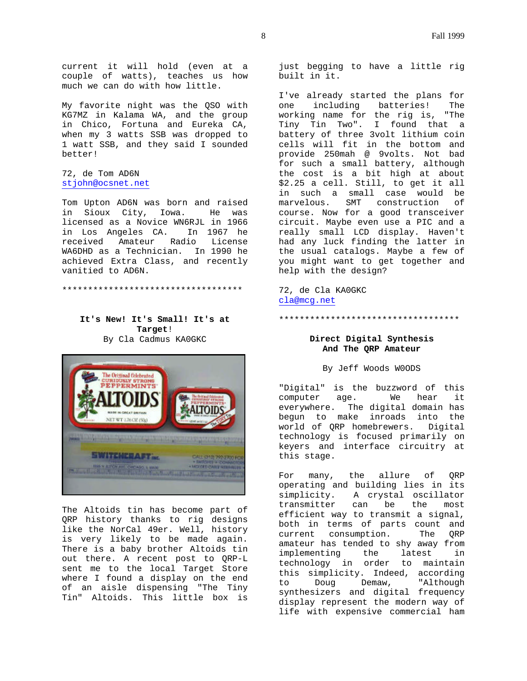current it will hold (even at a couple of watts), teaches us how much we can do with how little.

My favorite night was the QSO with KG7MZ in Kalama WA, and the group in Chico, Fortuna and Eureka CA, when my 3 watts SSB was dropped to 1 watt SSB, and they said I sounded better!

# 72, de Tom AD6N stjohn@ocsnet.net

Tom Upton AD6N was born and raised in Sioux City, Iowa. He was licensed as a Novice WN6RJL in 1966 in Los Angeles CA. In 1967 he received Amateur Radio License WA6DHD as a Technician. In 1990 he achieved Extra Class, and recently vanitied to AD6N.

\*\*\*\*\*\*\*\*\*\*\*\*\*\*\*\*\*\*\*\*\*\*\*\*\*\*\*\*\*\*\*\*\*\*\*

# **It's New! It's Small! It's at Target**! By Cla Cadmus KA0GKC



The Altoids tin has become part of QRP history thanks to rig designs like the NorCal 49er. Well, history is very likely to be made again. There is a baby brother Altoids tin out there. A recent post to QRP-L sent me to the local Target Store where I found a display on the end of an aisle dispensing "The Tiny Tin" Altoids. This little box is

just begging to have a little rig built in it.

I've already started the plans for<br>one including batteries! The one including batteries! working name for the rig is, "The Tiny Tin Two". I found that a battery of three 3volt lithium coin cells will fit in the bottom and provide 250mah @ 9volts. Not bad for such a small battery, although the cost is a bit high at about \$2.25 a cell. Still, to get it all in such a small case would be marvelous. SMT construction of course. Now for a good transceiver circuit. Maybe even use a PIC and a really small LCD display. Haven't had any luck finding the latter in the usual catalogs. Maybe a few of you might want to get together and help with the design?

72, de Cla KA0GKC cla@mcg.net

\*\*\*\*\*\*\*\*\*\*\*\*\*\*\*\*\*\*\*\*\*\*\*\*\*\*\*\*\*\*\*\*\*\*\*

# **Direct Digital Synthesis And The QRP Amateur**

By Jeff Woods W0ODS

"Digital" is the buzzword of this computer age. We hear it everywhere. The digital domain has begun to make inroads into the world of QRP homebrewers. Digital technology is focused primarily on keyers and interface circuitry at this stage.

For many, the allure of QRP operating and building lies in its simplicity. A crystal oscillator transmitter can be the most efficient way to transmit a signal, both in terms of parts count and current consumption. The QRP amateur has tended to shy away from implementing the latest in technology in order to maintain this simplicity. Indeed, according to Doug Demaw, "Although synthesizers and digital frequency display represent the modern way of life with expensive commercial ham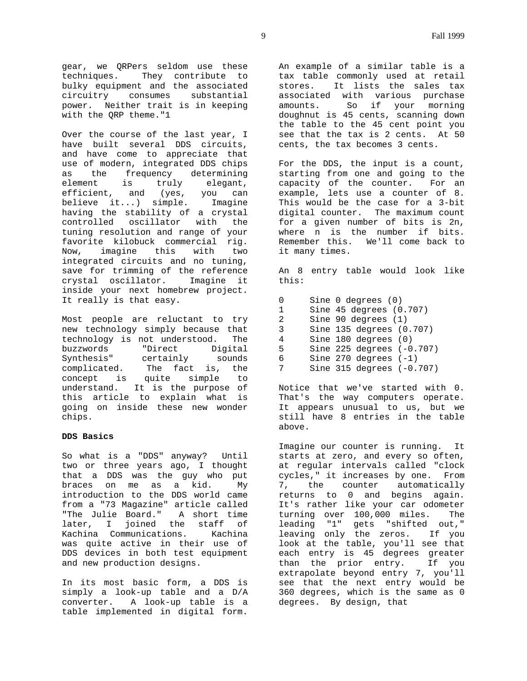gear, we QRPers seldom use these techniques. They contribute to bulky equipment and the associated circuitry consumes substantial power. Neither trait is in keeping with the QRP theme."1

Over the course of the last year, I have built several DDS circuits, and have come to appreciate that use of modern, integrated DDS chips as the frequency determining element is truly elegant, efficient, and (yes, you can believe it...) simple. Imagine having the stability of a crystal controlled oscillator with the tuning resolution and range of your favorite kilobuck commercial rig. Now, imagine this with two integrated circuits and no tuning, save for trimming of the reference crystal oscillator. Imagine it inside your next homebrew project. It really is that easy.

Most people are reluctant to try new technology simply because that technology is not understood. The buzzwords "Direct Digital Synthesis" certainly sounds complicated. The fact is, the concept is quite simple to understand. It is the purpose of this article to explain what is going on inside these new wonder chips.

## **DDS Basics**

So what is a "DDS" anyway? Until two or three years ago, I thought that a DDS was the guy who put braces on me as a kid. My introduction to the DDS world came from a "73 Magazine" article called "The Julie Board." A short time later, I joined the staff of Kachina Communications. Kachina was quite active in their use of DDS devices in both test equipment and new production designs.

In its most basic form, a DDS is simply a look-up table and a D/A converter. A look-up table is a table implemented in digital form.

An example of a similar table is a tax table commonly used at retail stores. It lists the sales tax associated with various purchase amounts. So if your morning doughnut is 45 cents, scanning down the table to the 45 cent point you see that the tax is 2 cents. At 50 cents, the tax becomes 3 cents.

For the DDS, the input is a count, starting from one and going to the capacity of the counter. For an example, lets use a counter of 8. This would be the case for a 3-bit digital counter. The maximum count for a given number of bits is 2n, where n is the number if bits. Remember this. We'll come back to it many times.

An 8 entry table would look like this:

 Sine 0 degrees (0) Sine 45 degrees (0.707) 2 Sine 90 degrees (1) Sine 135 degrees (0.707) degrees (0.<br>4 Sine 180 degrees (0) Sine 225 degrees (-0.707) Sine 270 degrees (-1) Sine 315 degrees (-0.707)

Notice that we've started with 0. That's the way computers operate. It appears unusual to us, but we still have 8 entries in the table above.

Imagine our counter is running. It starts at zero, and every so often, at regular intervals called "clock cycles," it increases by one. From 7, the counter automatically returns to 0 and begins again. It's rather like your car odometer turning over 100,000 miles. The leading "1" gets "shifted out,"<br>leaving only the zeros. If you leaving only the zeros. look at the table, you'll see that each entry is 45 degrees greater than the prior entry. If you extrapolate beyond entry 7, you'll see that the next entry would be 360 degrees, which is the same as 0 degrees. By design, that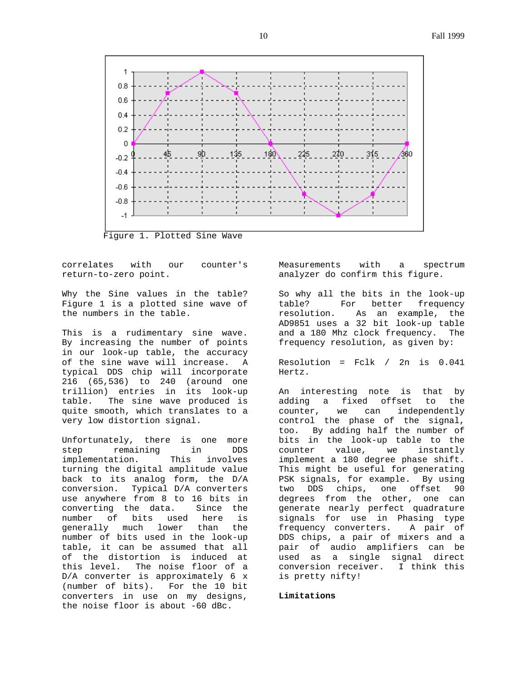

Figure 1. Plotted Sine Wave

correlates with our counter's return-to-zero point.

Why the Sine values in the table? Figure 1 is a plotted sine wave of the numbers in the table.

This is a rudimentary sine wave. By increasing the number of points in our look-up table, the accuracy of the sine wave will increase. A typical DDS chip will incorporate 216 (65,536) to 240 (around one trillion) entries in its look-up table. The sine wave produced is quite smooth, which translates to a very low distortion signal.

Unfortunately, there is one more step remaining in DDS implementation. This involves turning the digital amplitude value back to its analog form, the D/A conversion. Typical D/A converters use anywhere from 8 to 16 bits in converting the data. Since the number of bits used here is generally much lower than the number of bits used in the look-up table, it can be assumed that all of the distortion is induced at this level. The noise floor of a D/A converter is approximately 6 x (number of bits). For the 10 bit converters in use on my designs, the noise floor is about -60 dBc.

Measurements with a spectrum analyzer do confirm this figure.

So why all the bits in the look-up table? For better frequency resolution. As an example, the AD9851 uses a 32 bit look-up table and a 180 Mhz clock frequency. The frequency resolution, as given by:

Resolution = Fclk / 2n is 0.041 Hertz.

An interesting note is that by adding a fixed offset to the counter, we can independently control the phase of the signal, too. By adding half the number of bits in the look-up table to the counter value, we instantly implement a 180 degree phase shift. This might be useful for generating PSK signals, for example. By using two DDS chips, one offset 90 degrees from the other, one can generate nearly perfect quadrature signals for use in Phasing type frequency converters. A pair of DDS chips, a pair of mixers and a pair of audio amplifiers can be used as a single signal direct conversion receiver. I think this is pretty nifty!

### **Limitations**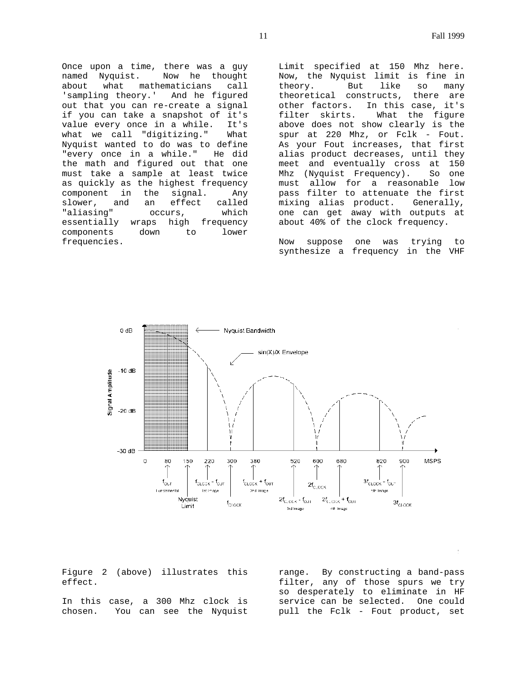Once upon a time, there was a guy named Nyquist. Now he thought about what mathematicians call 'sampling theory.' And he figured out that you can re-create a signal if you can take a snapshot of it's value every once in a while. It's what we call "digitizing." What Nyquist wanted to do was to define "every once in a while." He did the math and figured out that one must take a sample at least twice as quickly as the highest frequency component in the signal. Any<br>slower, and an effect called slower, and an effect called "aliasing" occurs, which essentially wraps high frequency components down to lower frequencies.

Limit specified at 150 Mhz here. Now, the Nyquist limit is fine in theory. But like so many theoretical constructs, there are other factors. In this case, it's filter skirts. What the figure above does not show clearly is the spur at 220 Mhz, or Fclk - Fout. As your Fout increases, that first alias product decreases, until they meet and eventually cross at 150 Mhz (Nyquist Frequency). So one must allow for a reasonable low pass filter to attenuate the first mixing alias product. Generally, one can get away with outputs at about 40% of the clock frequency.

Now suppose one was trying to synthesize a frequency in the VHF



Figure 2 (above) illustrates this effect.

In this case, a 300 Mhz clock is chosen. You can see the Nyquist

range. By constructing a band-pass filter, any of those spurs we try so desperately to eliminate in HF service can be selected. One could pull the Fclk - Fout product, set

÷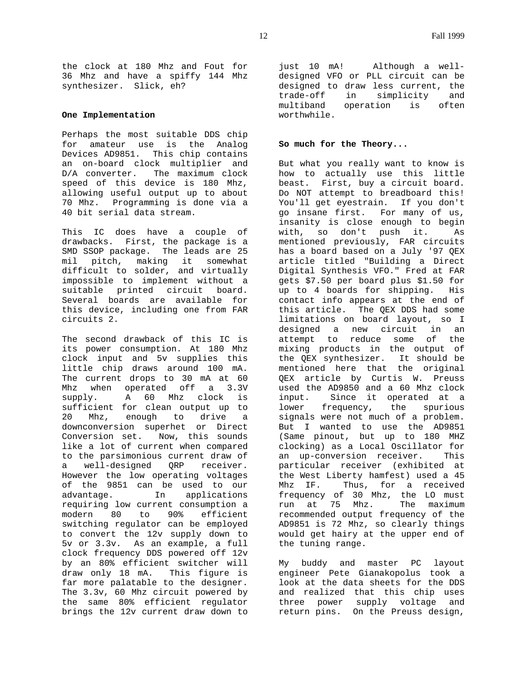the clock at 180 Mhz and Fout for 36 Mhz and have a spiffy 144 Mhz synthesizer. Slick, eh?

## **One Implementation**

Perhaps the most suitable DDS chip for amateur use is the Analog Devices AD9851. This chip contains an on-board clock multiplier and D/A converter. The maximum clock speed of this device is 180 Mhz, allowing useful output up to about 70 Mhz. Programming is done via a 40 bit serial data stream.

This IC does have a couple of drawbacks. First, the package is a SMD SSOP package. The leads are 25 mil pitch, making it somewhat difficult to solder, and virtually impossible to implement without a suitable printed circuit board. Several boards are available for this device, including one from FAR circuits 2.

The second drawback of this IC is its power consumption. At 180 Mhz clock input and 5v supplies this little chip draws around 100 mA. The current drops to 30 mA at 60 Mhz when operated off a 3.3V supply. A 60 Mhz clock is sufficient for clean output up to 20 Mhz, enough to drive a downconversion superhet or Direct Conversion set. Now, this sounds like a lot of current when compared to the parsimonious current draw of a well-designed QRP receiver. However the low operating voltages of the 9851 can be used to our advantage. In applications requiring low current consumption a modern 80 to 90% efficient switching regulator can be employed to convert the 12v supply down to 5v or 3.3v. As an example, a full clock frequency DDS powered off 12v by an 80% efficient switcher will draw only 18 mA. This figure is far more palatable to the designer. The 3.3v, 60 Mhz circuit powered by the same 80% efficient regulator brings the 12v current draw down to

just 10 mA! Although a welldesigned VFO or PLL circuit can be designed to draw less current, the trade-off in simplicity and multiband operation is often worthwhile.

## **So much for the Theory...**

But what you really want to know is how to actually use this little beast. First, buy a circuit board. Do NOT attempt to breadboard this! You'll get eyestrain. If you don't go insane first. For many of us, insanity is close enough to begin with, so don't push it. As mentioned previously, FAR circuits has a board based on a July '97 QEX article titled "Building a Direct Digital Synthesis VFO." Fred at FAR gets \$7.50 per board plus \$1.50 for up to 4 boards for shipping. His contact info appears at the end of this article. The QEX DDS had some limitations on board layout, so I designed a new circuit in an attempt to reduce some of the mixing products in the output of the QEX synthesizer. It should be mentioned here that the original QEX article by Curtis W. Preuss used the AD9850 and a 60 Mhz clock input. Since it operated at a lower frequency, the spurious signals were not much of a problem. But I wanted to use the AD9851 (Same pinout, but up to 180 MHZ clocking) as a Local Oscillator for an up-conversion receiver. This particular receiver (exhibited at the West Liberty hamfest) used a 45 Mhz IF. Thus, for a received frequency of 30 Mhz, the LO must<br>run at 75 Mhz. The maximum run at 75 Mhz. recommended output frequency of the AD9851 is 72 Mhz, so clearly things would get hairy at the upper end of the tuning range.

My buddy and master PC layout engineer Pete Gianakopolus took a look at the data sheets for the DDS and realized that this chip uses three power supply voltage and return pins. On the Preuss design,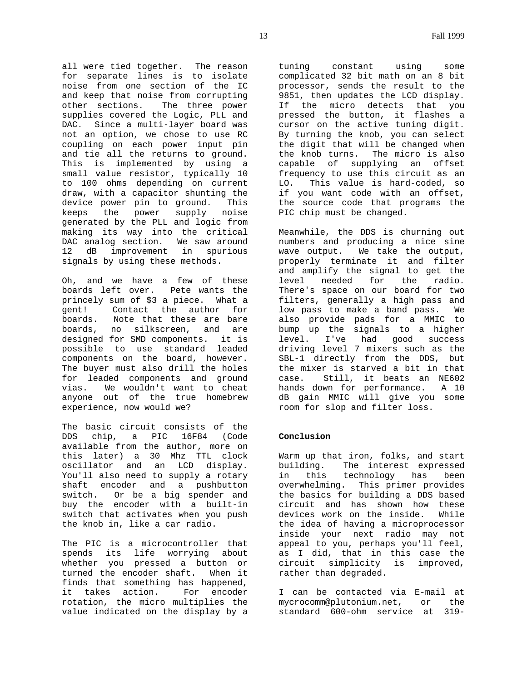all were tied together. The reason for separate lines is to isolate noise from one section of the IC and keep that noise from corrupting other sections. The three power supplies covered the Logic, PLL and DAC. Since a multi-layer board was not an option, we chose to use RC coupling on each power input pin and tie all the returns to ground. This is implemented by using a small value resistor, typically 10 to 100 ohms depending on current draw, with a capacitor shunting the device power pin to ground. This keeps the power supply noise generated by the PLL and logic from making its way into the critical DAC analog section. We saw around 12 dB improvement in spurious signals by using these methods.

Oh, and we have a few of these boards left over. Pete wants the princely sum of \$3 a piece. What a gent! Contact the author for boards. Note that these are bare boards, no silkscreen, and are designed for SMD components. it is possible to use standard leaded components on the board, however. The buyer must also drill the holes for leaded components and ground<br>vias. We wouldn't want to cheat We wouldn't want to cheat anyone out of the true homebrew experience, now would we?

The basic circuit consists of the DDS chip, a PIC 16F84 (Code available from the author, more on this later) a 30 Mhz TTL clock oscillator and an LCD display. You'll also need to supply a rotary shaft encoder and a pushbutton switch. Or be a big spender and buy the encoder with a built-in switch that activates when you push the knob in, like a car radio.

The PIC is a microcontroller that spends its life worrying about whether you pressed a button or turned the encoder shaft. When it finds that something has happened, it takes action. For encoder rotation, the micro multiplies the value indicated on the display by a

tuning constant using some complicated 32 bit math on an 8 bit processor, sends the result to the 9851, then updates the LCD display. If the micro detects that you pressed the button, it flashes a cursor on the active tuning digit. By turning the knob, you can select the digit that will be changed when the knob turns. The micro is also capable of supplying an offset frequency to use this circuit as an LO. This value is hard-coded, so if you want code with an offset, the source code that programs the PIC chip must be changed.

Meanwhile, the DDS is churning out numbers and producing a nice sine wave output. We take the output, properly terminate it and filter and amplify the signal to get the level needed for the radio. There's space on our board for two filters, generally a high pass and low pass to make a band pass. We also provide pads for a MMIC to bump up the signals to a higher level. I've had good success driving level 7 mixers such as the SBL-1 directly from the DDS, but the mixer is starved a bit in that case. Still, it beats an NE602 hands down for performance. A 10 dB gain MMIC will give you some room for slop and filter loss.

## **Conclusion**

Warm up that iron, folks, and start building. The interest expressed in this technology has been overwhelming. This primer provides the basics for building a DDS based circuit and has shown how these devices work on the inside. While the idea of having a microprocessor inside your next radio may not appeal to you, perhaps you'll feel, as I did, that in this case the circuit simplicity is improved, rather than degraded.

I can be contacted via E-mail at mycrocomm@plutonium.net, or the standard 600-ohm service at 319-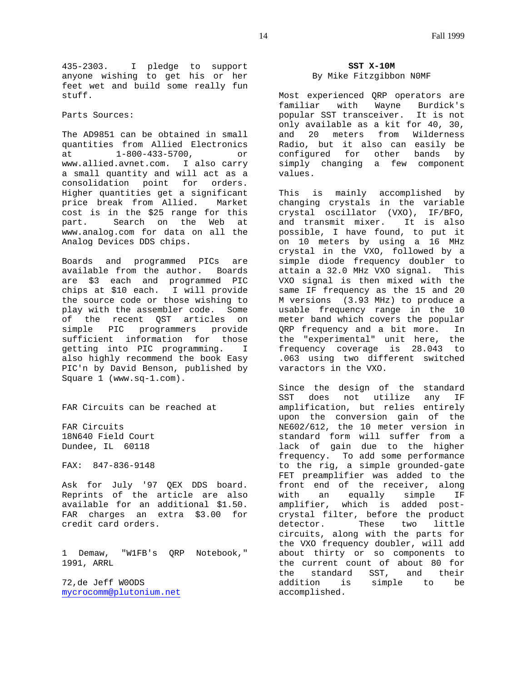435-2303. I pledge to support anyone wishing to get his or her feet wet and build some really fun stuff.

Parts Sources:

The AD9851 can be obtained in small quantities from Allied Electronics at 1-800-433-5700, or www.allied.avnet.com. I also carry a small quantity and will act as a consolidation point for orders. Higher quantities get a significant price break from Allied. Market cost is in the \$25 range for this part. Search on the Web at www.analog.com for data on all the Analog Devices DDS chips.

Boards and programmed PICs are available from the author. Boards are \$3 each and programmed PIC chips at \$10 each. I will provide the source code or those wishing to play with the assembler code. Some of the recent QST articles on simple PIC programmers provide sufficient information for those getting into PIC programming. I also highly recommend the book Easy PIC'n by David Benson, published by Square 1 (www.sq-1.com).

FAR Circuits can be reached at

FAR Circuits 18N640 Field Court Dundee, IL 60118

FAX: 847-836-9148

Ask for July '97 QEX DDS board. Reprints of the article are also available for an additional \$1.50. FAR charges an extra \$3.00 for credit card orders.

1 Demaw, "W1FB's QRP Notebook," 1991, ARRL

72,de Jeff W0ODS mycrocomm@plutonium.net

# **SST X-10M** By Mike Fitzgibbon N0MF

Most experienced QRP operators are familiar with Wayne Burdick's popular SST transceiver. It is not only available as a kit for 40, 30, and 20 meters from Wilderness Radio, but it also can easily be configured for other bands by simply changing a few component values.

This is mainly accomplished by changing crystals in the variable crystal oscillator (VXO), IF/BFO, and transmit mixer. It is also possible, I have found, to put it on 10 meters by using a 16 MHz crystal in the VXO, followed by a simple diode frequency doubler to attain a 32.0 MHz VXO signal. This VXO signal is then mixed with the same IF frequency as the 15 and 20 M versions (3.93 MHz) to produce a usable frequency range in the 10 meter band which covers the popular QRP frequency and a bit more. In the "experimental" unit here, the frequency coverage is 28.043 to .063 using two different switched varactors in the VXO.

Since the design of the standard SST does not utilize any IF amplification, but relies entirely upon the conversion gain of the NE602/612, the 10 meter version in standard form will suffer from a lack of gain due to the higher frequency. To add some performance to the rig, a simple grounded-gate FET preamplifier was added to the front end of the receiver, along with an equally simple IF amplifier, which is added postcrystal filter, before the product detector. These two little circuits, along with the parts for the VXO frequency doubler, will add about thirty or so components to the current count of about 80 for the standard SST, and their addition is simple to be accomplished.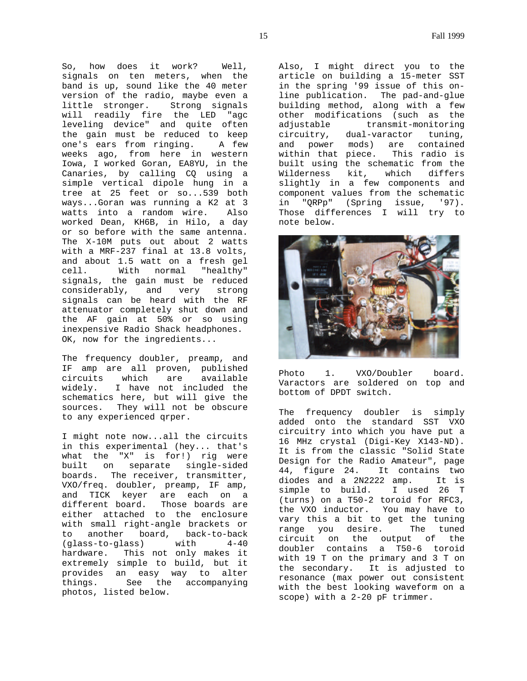So, how does it work? Well, signals on ten meters, when the band is up, sound like the 40 meter version of the radio, maybe even a little stronger. Strong signals will readily fire the LED "agc leveling device" and quite often the gain must be reduced to keep one's ears from ringing. A few weeks ago, from here in western Iowa, I worked Goran, EA8YU, in the Canaries, by calling CQ using a simple vertical dipole hung in a tree at 25 feet or so...539 both ways...Goran was running a K2 at 3 watts into a random wire. Also worked Dean, KH6B, in Hilo, a day or so before with the same antenna. The X-10M puts out about 2 watts with a MRF-237 final at 13.8 volts, and about 1.5 watt on a fresh gel cell. With normal "healthy" signals, the gain must be reduced considerably, and very strong signals can be heard with the RF attenuator completely shut down and the AF gain at 50% or so using inexpensive Radio Shack headphones. OK, now for the ingredients...

The frequency doubler, preamp, and IF amp are all proven, published circuits which are available widely. I have not included the schematics here, but will give the sources. They will not be obscure to any experienced qrper.

I might note now...all the circuits in this experimental (hey... that's what the "X" is for!) rig were built on separate single-sided boards. The receiver, transmitter, VXO/freq. doubler, preamp, IF amp, and TICK keyer are each on a different board. Those boards are either attached to the enclosure with small right-angle brackets or to another board, back-to-back (glass-to-glass) with 4-40 hardware. This not only makes it extremely simple to build, but it provides an easy way to alter things. See the accompanying photos, listed below.

Also, I might direct you to the article on building a 15-meter SST in the spring '99 issue of this online publication. The pad-and-glue building method, along with a few other modifications (such as the adjustable transmit-monitoring circuitry, dual-varactor tuning, and power mods) are contained<br>within that piece. This radio is within that piece. built using the schematic from the Wilderness kit, which differs slightly in a few components and component values from the schematic in "QRPp" (Spring issue, '97). Those differences I will try to note below.



Photo 1. VXO/Doubler board. Varactors are soldered on top and bottom of DPDT switch.

The frequency doubler is simply added onto the standard SST VXO circuitry into which you have put a 16 MHz crystal (Digi-Key X143-ND). It is from the classic "Solid State Design for the Radio Amateur", page 44, figure 24. It contains two diodes and a 2N2222 amp. It is<br>simple to build. I used 26 T simple to build. (turns) on a T50-2 toroid for RFC3, the VXO inductor. You may have to vary this a bit to get the tuning range you desire. The tuned circuit on the output of the doubler contains a T50-6 toroid with 19 T on the primary and 3 T on the secondary. It is adjusted to resonance (max power out consistent with the best looking waveform on a scope) with a 2-20 pF trimmer.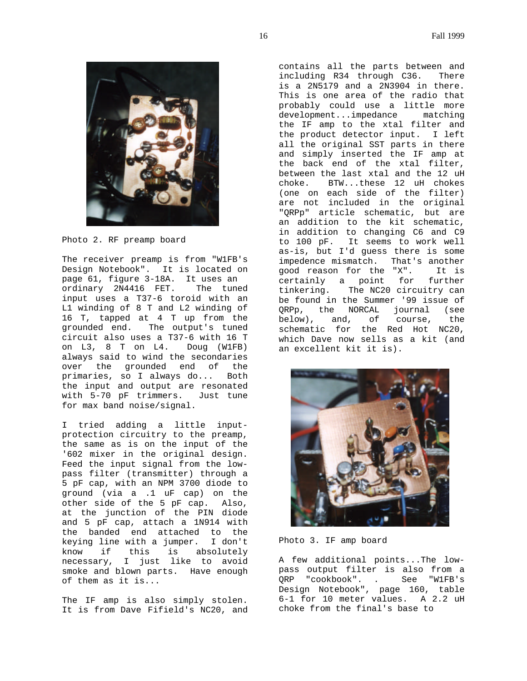

Photo 2. RF preamp board

The receiver preamp is from "W1FB's Design Notebook". It is located on page 61, figure 3-18A. It uses an ordinary 2N4416 FET. The tuned input uses a T37-6 toroid with an L1 winding of 8 T and L2 winding of 16 T, tapped at 4 T up from the grounded end. The output's tuned circuit also uses a T37-6 with 16 T on L3, 8 T on L4. Doug (W1FB) always said to wind the secondaries over the grounded end of the primaries, so I always do... Both the input and output are resonated with 5-70 pF trimmers. Just tune for max band noise/signal.

I tried adding a little inputprotection circuitry to the preamp, the same as is on the input of the '602 mixer in the original design. Feed the input signal from the lowpass filter (transmitter) through a 5 pF cap, with an NPM 3700 diode to ground (via a .1 uF cap) on the other side of the 5 pF cap. Also, at the junction of the PIN diode and 5 pF cap, attach a 1N914 with the banded end attached to the keying line with a jumper. I don't know if this is absolutely necessary, I just like to avoid smoke and blown parts. Have enough of them as it is...

The IF amp is also simply stolen. It is from Dave Fifield's NC20, and

contains all the parts between and including R34 through C36. There is a 2N5179 and a 2N3904 in there. This is one area of the radio that probably could use a little more development...impedance matching the IF amp to the xtal filter and the product detector input. I left all the original SST parts in there and simply inserted the IF amp at the back end of the xtal filter, between the last xtal and the 12 uH choke. BTW...these 12 uH chokes (one on each side of the filter) are not included in the original "QRPp" article schematic, but are an addition to the kit schematic, in addition to changing C6 and C9 to 100 pF. It seems to work well as-is, but I'd guess there is some impedence mismatch. That's another good reason for the "X". It is certainly a point for further tinkering. The NC20 circuitry can be found in the Summer '99 issue of QRPp, the NORCAL journal (see below), and, of course, the schematic for the Red Hot NC20, which Dave now sells as a kit (and an excellent kit it is).



Photo 3. IF amp board

A few additional points...The lowpass output filter is also from a QRP "cookbook". . See "W1FB's Design Notebook", page 160, table 6-1 for 10 meter values. A 2.2 uH choke from the final's base to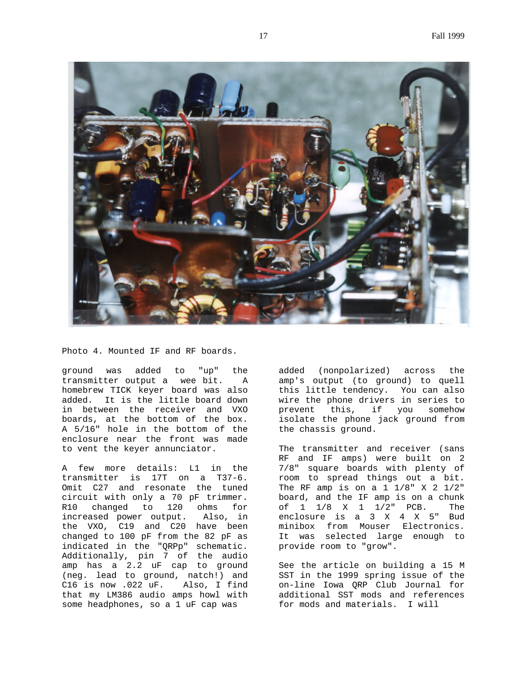

Photo 4. Mounted IF and RF boards.

ground was added to "up" the transmitter output a wee bit. A homebrew TICK keyer board was also added. It is the little board down in between the receiver and VXO boards, at the bottom of the box. A 5/16" hole in the bottom of the enclosure near the front was made to vent the keyer annunciator.

A few more details: L1 in the transmitter is 17T on a T37-6. Omit C27 and resonate the tuned circuit with only a 70 pF trimmer. R10 changed to 120 ohms for increased power output. Also, in the VXO, C19 and C20 have been changed to 100 pF from the 82 pF as indicated in the "QRPp" schematic. Additionally, pin 7 of the audio amp has a 2.2 uF cap to ground (neg. lead to ground, natch!) and C16 is now .022 uF. Also, I find that my LM386 audio amps howl with some headphones, so a 1 uF cap was

added (nonpolarized) across the amp's output (to ground) to quell this little tendency. You can also wire the phone drivers in series to prevent this, if you somehow isolate the phone jack ground from the chassis ground.

The transmitter and receiver (sans RF and IF amps) were built on 2 7/8" square boards with plenty of room to spread things out a bit. The RF amp is on a  $1 \frac{1}{8}$  X 2  $\frac{1}{2}$ " board, and the IF amp is on a chunk of 1 1/8 X 1 1/2" PCB. The enclosure is a 3 X 4 X 5" Bud minibox from Mouser Electronics. It was selected large enough to provide room to "grow".

See the article on building a 15 M SST in the 1999 spring issue of the on-line Iowa QRP Club Journal for additional SST mods and references for mods and materials. I will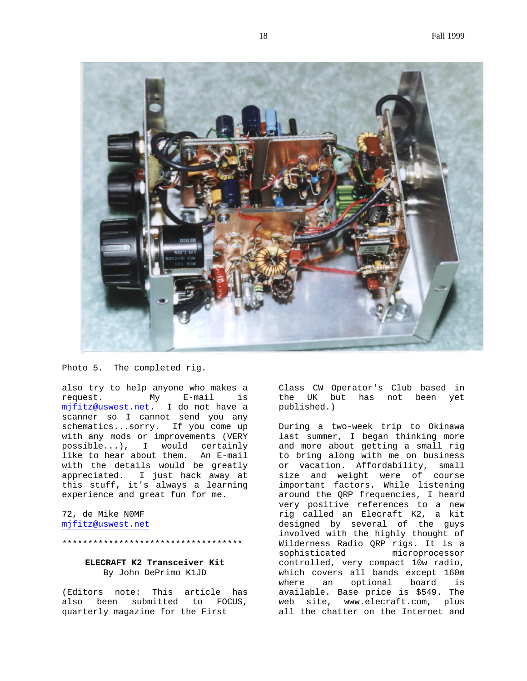

Photo 5. The completed rig.

also try to help anyone who makes a request. My E-mail is mjfitz@uswest.net. I do not have a scanner so I cannot send you any schematics...sorry. If you come up with any mods or improvements (VERY possible...), I would certainly like to hear about them. An E-mail with the details would be greatly appreciated. I just hack away at this stuff, it's always a learning experience and great fun for me.

72, de Mike N0MF mjfitz@uswest.net

#### \*\*\*\*\*\*\*\*\*\*\*\*\*\*\*\*\*\*\*\*\*\*\*\*\*\*\*\*\*\*\*\*\*\*\*

# **ELECRAFT K2 Transceiver Kit** By John DePrimo K1JD

(Editors note: This article has also been submitted to FOCUS, quarterly magazine for the First

Class CW Operator's Club based in the UK but has not been yet published.)

During a two-week trip to Okinawa last summer, I began thinking more and more about getting a small rig to bring along with me on business or vacation. Affordability, small size and weight were of course important factors. While listening around the QRP frequencies, I heard very positive references to a new rig called an Elecraft K2, a kit designed by several of the guys involved with the highly thought of Wilderness Radio QRP rigs. It is a sophisticated microprocessor controlled, very compact 10w radio, which covers all bands except 160m where an optional board is available. Base price is \$549. The web site, www.elecraft.com, plus all the chatter on the Internet and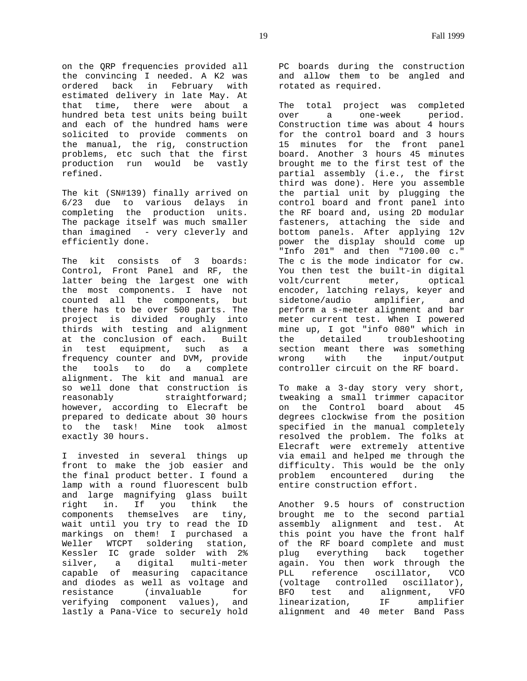on the QRP frequencies provided all the convincing I needed. A K2 was ordered back in February with estimated delivery in late May. At that time, there were about a hundred beta test units being built and each of the hundred hams were solicited to provide comments on the manual, the rig, construction problems, etc such that the first production run would be vastly refined.

The kit (SN#139) finally arrived on 6/23 due to various delays in completing the production units. The package itself was much smaller than imagined - very cleverly and efficiently done.

The kit consists of 3 boards: Control, Front Panel and RF, the latter being the largest one with the most components. I have not counted all the components, but there has to be over 500 parts. The project is divided roughly into thirds with testing and alignment at the conclusion of each. Built in test equipment, such as a frequency counter and DVM, provide the tools to do a complete alignment. The kit and manual are so well done that construction is reasonably straightforward; however, according to Elecraft be prepared to dedicate about 30 hours to the task! Mine took almost exactly 30 hours.

I invested in several things up front to make the job easier and the final product better. I found a lamp with a round fluorescent bulb and large magnifying glass built<br>right in. If you think the right in. If you think components themselves are tiny, wait until you try to read the ID markings on them! I purchased a Weller WTCPT soldering station, Kessler IC grade solder with 2% silver, a digital multi-meter capable of measuring capacitance and diodes as well as voltage and resistance (invaluable for verifying component values), and lastly a Pana-Vice to securely hold PC boards during the construction and allow them to be angled and rotated as required.

The total project was completed over a one-week period. Construction time was about 4 hours for the control board and 3 hours 15 minutes for the front panel board. Another 3 hours 45 minutes brought me to the first test of the partial assembly (i.e., the first third was done). Here you assemble the partial unit by plugging the control board and front panel into the RF board and, using 2D modular fasteners, attaching the side and bottom panels. After applying 12v power the display should come up "Info 201" and then "7100.00 c." The c is the mode indicator for cw. You then test the built-in digital volt/current meter, optical encoder, latching relays, keyer and sidetone/audio amplifier, and perform a s-meter alignment and bar meter current test. When I powered mine up, I got "info 080" which in the detailed troubleshooting section meant there was something wrong with the input/output controller circuit on the RF board.

To make a 3-day story very short, tweaking a small trimmer capacitor on the Control board about 45 degrees clockwise from the position specified in the manual completely resolved the problem. The folks at Elecraft were extremely attentive via email and helped me through the difficulty. This would be the only problem encountered during the entire construction effort.

Another 9.5 hours of construction brought me to the second partial assembly alignment and test. At this point you have the front half of the RF board complete and must plug everything back together again. You then work through the PLL reference oscillator, VCO (voltage controlled oscillator), BFO test and alignment, VFO linearization, IF amplifier alignment and 40 meter Band Pass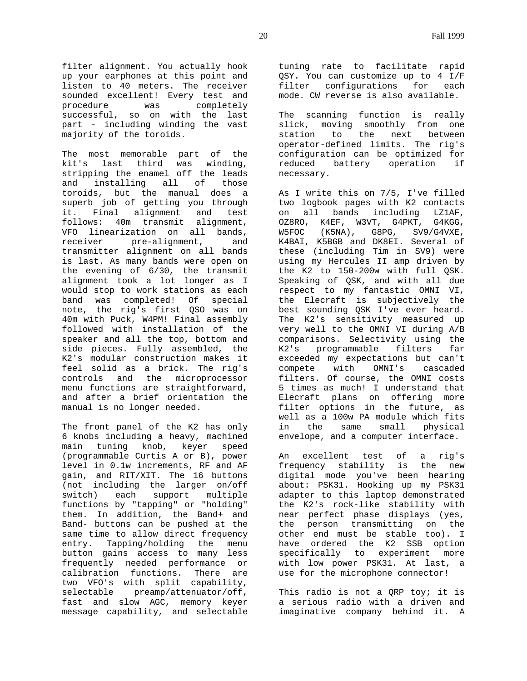filter alignment. You actually hook up your earphones at this point and listen to 40 meters. The receiver sounded excellent! Every test and procedure was completely successful, so on with the last part - including winding the vast majority of the toroids.

The most memorable part of the kit's last third was winding, stripping the enamel off the leads and installing all of those toroids, but the manual does a superb job of getting you through it. Final alignment and test follows: 40m transmit alignment, VFO linearization on all bands, receiver pre-alignment, and transmitter alignment on all bands is last. As many bands were open on the evening of 6/30, the transmit alignment took a lot longer as I would stop to work stations as each band was completed! Of special note, the rig's first QSO was on 40m with Puck, W4PM! Final assembly followed with installation of the speaker and all the top, bottom and side pieces. Fully assembled, the K2's modular construction makes it feel solid as a brick. The rig's controls and the microprocessor menu functions are straightforward, and after a brief orientation the manual is no longer needed.

The front panel of the K2 has only 6 knobs including a heavy, machined main tuning knob, keyer speed (programmable Curtis A or B), power level in 0.1w increments, RF and AF gain, and RIT/XIT. The 16 buttons (not including the larger on/off switch) each support multiple functions by "tapping" or "holding" them. In addition, the Band+ and Band- buttons can be pushed at the same time to allow direct frequency entry. Tapping/holding the menu button gains access to many less frequently needed performance or calibration functions. There are two VFO's with split capability, selectable preamp/attenuator/off, fast and slow AGC, memory keyer message capability, and selectable tuning rate to facilitate rapid QSY. You can customize up to 4 I/F filter configurations for each mode. CW reverse is also available.

The scanning function is really slick, moving smoothly from one station to the next between operator-defined limits. The rig's configuration can be optimized for reduced battery operation if necessary.

As I write this on 7/5, I've filled two logbook pages with K2 contacts on all bands including LZ1AF, OZ8RO, K4EF, W3VT, G4PKT, G4KGG, W5FOC (K5NA), G8PG, SV9/G4VXE, K4BAI, K5BGB and DK8EI. Several of these (including Tim in SV9) were using my Hercules II amp driven by the K2 to 150-200w with full QSK. Speaking of QSK, and with all due respect to my fantastic OMNI VI, the Elecraft is subjectively the best sounding QSK I've ever heard. The K2's sensitivity measured up very well to the OMNI VI during A/B comparisons. Selectivity using the K2's programmable filters far exceeded my expectations but can't compete with OMNI's cascaded filters. Of course, the OMNI costs 5 times as much! I understand that Elecraft plans on offering more filter options in the future, as well as a 100w PA module which fits in the same small physical envelope, and a computer interface.

An excellent test of a rig's frequency stability is the new digital mode you've been hearing about: PSK31. Hooking up my PSK31 adapter to this laptop demonstrated the K2's rock-like stability with near perfect phase displays (yes, the person transmitting on the other end must be stable too). I have ordered the K2 SSB option specifically to experiment more with low power PSK31. At last, a use for the microphone connector!

This radio is not a QRP toy; it is a serious radio with a driven and imaginative company behind it. A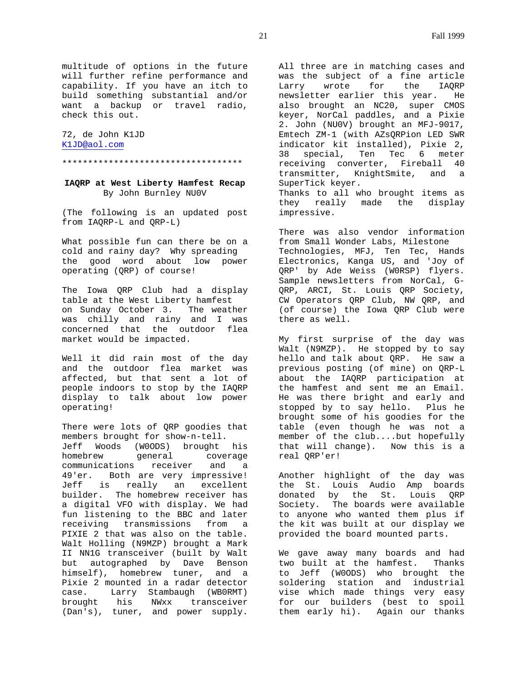multitude of options in the future will further refine performance and capability. If you have an itch to build something substantial and/or want a backup or travel radio, check this out.

72, de John K1JD K1JD@aol.com

# \*\*\*\*\*\*\*\*\*\*\*\*\*\*\*\*\*\*\*\*\*\*\*\*\*\*\*\*\*\*\*\*\*\*\*

# **IAQRP at West Liberty Hamfest Recap** By John Burnley NU0V

(The following is an updated post from IAQRP-L and QRP-L)

What possible fun can there be on a cold and rainy day? Why spreading the good word about low power operating (QRP) of course!

The Iowa QRP Club had a display table at the West Liberty hamfest on Sunday October 3. The weather was chilly and rainy and I was concerned that the outdoor flea market would be impacted.

Well it did rain most of the day and the outdoor flea market was affected, but that sent a lot of people indoors to stop by the IAQRP display to talk about low power operating!

There were lots of QRP goodies that members brought for show-n-tell. Jeff Woods (W0ODS) brought his homebrew qeneral coverage communications receiver and a 49'er. Both are very impressive! Jeff is really an excellent builder. The homebrew receiver has a digital VFO with display. We had fun listening to the BBC and later receiving transmissions from a PIXIE 2 that was also on the table. Walt Holling (N9MZP) brought a Mark II NN1G transceiver (built by Walt but autographed by Dave Benson himself), homebrew tuner, and a Pixie 2 mounted in a radar detector case. Larry Stambaugh (WB0RMT) brought his NWxx transceiver (Dan's), tuner, and power supply.

All three are in matching cases and was the subject of a fine article Larry wrote for the IAQRP newsletter earlier this year. He also brought an NC20, super CMOS keyer, NorCal paddles, and a Pixie 2. John (NU0V) brought an MFJ-9017, Emtech ZM-1 (with AZsQRPion LED SWR indicator kit installed), Pixie 2, 38 special, Ten Tec 6 meter receiving converter, Fireball 40 transmitter, KnightSmite, and a SuperTick keyer. Thanks to all who brought items as they really made the display impressive.

There was also vendor information from Small Wonder Labs, Milestone Technologies, MFJ, Ten Tec, Hands Electronics, Kanga US, and 'Joy of QRP' by Ade Weiss (W0RSP) flyers. Sample newsletters from NorCal, G-QRP, ARCI, St. Louis QRP Society, CW Operators QRP Club, NW QRP, and (of course) the Iowa QRP Club were there as well.

My first surprise of the day was Walt (N9MZP). He stopped by to say hello and talk about QRP. He saw a previous posting (of mine) on QRP-L about the IAQRP participation at the hamfest and sent me an Email. He was there bright and early and stopped by to say hello. Plus he brought some of his goodies for the table (even though he was not a member of the club....but hopefully that will change). Now this is a real QRP'er!

Another highlight of the day was the St. Louis Audio Amp boards donated by the St. Louis QRP Society. The boards were available to anyone who wanted them plus if the kit was built at our display we provided the board mounted parts.

We gave away many boards and had two built at the hamfest. Thanks to Jeff (W0ODS) who brought the soldering station and industrial vise which made things very easy for our builders (best to spoil them early hi). Again our thanks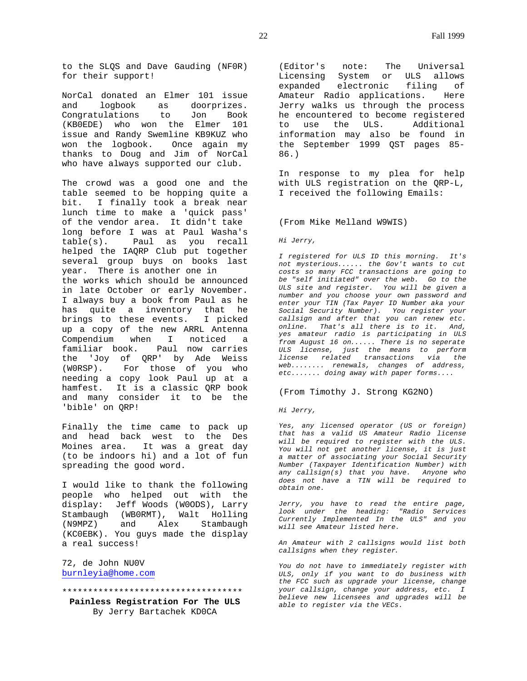to the SLQS and Dave Gauding (NF0R) for their support!

NorCal donated an Elmer 101 issue and logbook as doorprizes. Congratulations to Jon Book (KB0EDE) who won the Elmer 101 issue and Randy Swemline KB9KUZ who won the logbook. Once again my thanks to Doug and Jim of NorCal who have always supported our club.

The crowd was a good one and the table seemed to be hopping quite a bit. I finally took a break near lunch time to make a 'quick pass' of the vendor area. It didn't take long before I was at Paul Washa's table(s). Paul as you recall helped the IAQRP Club put together several group buys on books last year. There is another one in the works which should be announced in late October or early November. I always buy a book from Paul as he has quite a inventory that he brings to these events. I picked up a copy of the new ARRL Antenna Compendium when I noticed a familiar book. Paul now carries the 'Joy of QRP' by Ade Weiss<br>(WORSP). For those of you who For those of you who needing a copy look Paul up at a hamfest. It is a classic QRP book and many consider it to be the 'bible' on QRP!

Finally the time came to pack up and head back west to the Des Moines area. It was a great day (to be indoors hi) and a lot of fun spreading the good word.

I would like to thank the following people who helped out with the display: Jeff Woods (W0ODS), Larry Stambaugh (WB0RMT), Walt Holling (N9MPZ) and Alex Stambaugh (KC0EBK). You guys made the display a real success!

72, de John NU0V burnleyia@home.com

#### \*\*\*\*\*\*\*\*\*\*\*\*\*\*\*\*\*\*\*\*\*\*\*\*\*\*\*\*\*\*\*\*\*\*\*

**Painless Registration For The ULS** By Jerry Bartachek KD0CA

(Editor's note: The Universal Licensing System or ULS allows expanded electronic filing of Amateur Radio applications. Here Jerry walks us through the process he encountered to become registered to use the ULS. Additional information may also be found in the September 1999 QST pages 85- 86.)

In response to my plea for help with ULS registration on the QRP-L, I received the following Emails:

## (From Mike Melland W9WIS)

*Hi Jerry,*

*I registered for ULS ID this morning. It's not mysterious...... the Gov't wants to cut costs so many FCC transactions are going to be "self initiated" over the web. Go to the ULS site and register. You will be given a number and you choose your own password and enter your TIN (Tax Payer ID Number aka your Social Security Number). You register your callsign and after that you can renew etc. online. That's all there is to it. And, yes amateur radio is participating in ULS from August 16 on...... There is no seperate ULS license, just the means to perform license related transactions via the web........ renewals, changes of address, etc....... doing away with paper forms....*

#### (From Timothy J. Strong KG2NO)

#### *Hi Jerry,*

*Yes, any licensed operator (US or foreign) that has a valid US Amateur Radio license will be required to register with the ULS. You will not get another license, it is just a matter of associating your Social Security Number (Taxpayer Identification Number) with any callsign(s) that you have. Anyone who does not have a TIN will be required to obtain one.*

*Jerry, you have to read the entire page, look under the heading: "Radio Services Currently Implemented In the ULS" and you will see Amateur listed here.*

*An Amateur with 2 callsigns would list both callsigns when they register*.

*You do not have to immediately register with ULS, only if you want to do business with the FCC such as upgrade your license, change your callsign, change your address, etc. I believe new licensees and upgrades will be able to register via the VECs.*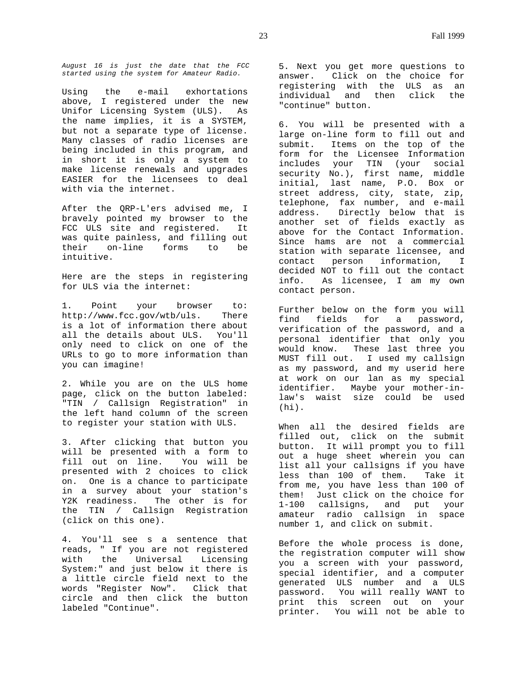*August 16 is just the date that the FCC started using the system for Amateur Radio.*

Using the e-mail exhortations above, I registered under the new Unifor Licensing System (ULS). As the name implies, it is a SYSTEM, but not a separate type of license. Many classes of radio licenses are being included in this program, and in short it is only a system to make license renewals and upgrades EASIER for the licensees to deal with via the internet.

After the QRP-L'ers advised me, I bravely pointed my browser to the FCC ULS site and registered. It was quite painless, and filling out their on-line forms to be intuitive.

Here are the steps in registering for ULS via the internet:

1. Point your browser to: http://www.fcc.gov/wtb/uls. There is a lot of information there about all the details about ULS. You'll only need to click on one of the URLs to go to more information than you can imagine!

2. While you are on the ULS home page, click on the button labeled: "TIN / Callsign Registration" in the left hand column of the screen to register your station with ULS.

3. After clicking that button you will be presented with a form to fill out on line. You will be presented with 2 choices to click on. One is a chance to participate in a survey about your station's Y2K readiness. The other is for the TIN / Callsign Registration (click on this one).

4. You'll see s a sentence that reads, " If you are not registered with the Universal Licensing System:" and just below it there is a little circle field next to the words "Register Now". Click that circle and then click the button labeled "Continue".

5. Next you get more questions to answer. Click on the choice for registering with the ULS as an individual and then click the "continue" button.

6. You will be presented with a large on-line form to fill out and submit. Items on the top of the form for the Licensee Information includes your TIN (your social security No.), first name, middle initial, last name, P.O. Box or street address, city, state, zip, telephone, fax number, and e-mail address. Directly below that is another set of fields exactly as above for the Contact Information. Since hams are not a commercial station with separate licensee, and contact person information, I decided NOT to fill out the contact info. As licensee, I am my own contact person.

Further below on the form you will find fields for a password, verification of the password, and a personal identifier that only you would know. These last three you MUST fill out. I used my callsign as my password, and my userid here at work on our lan as my special identifier. Maybe your mother-inlaw's waist size could be used  $(hi)$ .

When all the desired fields are filled out, click on the submit button. It will prompt you to fill out a huge sheet wherein you can list all your callsigns if you have less than 100 of them. Take it from me, you have less than 100 of them! Just click on the choice for 1-100 callsigns, and put your amateur radio callsign in space number 1, and click on submit.

Before the whole process is done, the registration computer will show you a screen with your password, special identifier, and a computer generated ULS number and a ULS password. You will really WANT to print this screen out on your printer. You will not be able to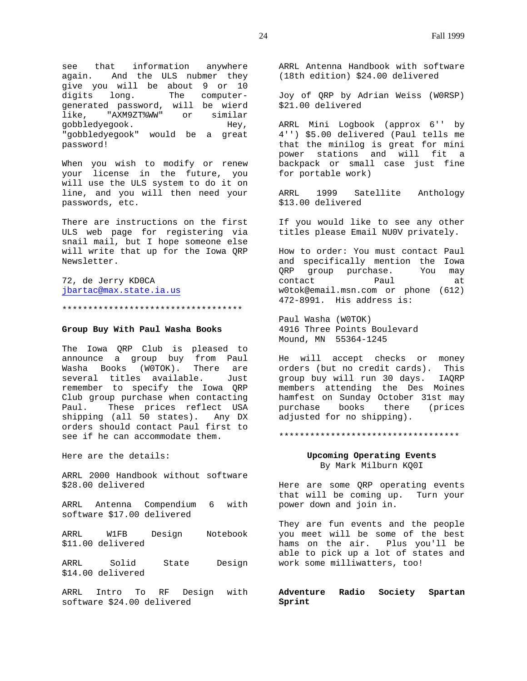see that information anywhere again. And the ULS nubmer they give you will be about 9 or 10 digits long. The computergenerated password, will be wierd like, "AXM9ZT%WW" or similar gobbledyegook. Hey, "gobbledyegook" would be a great password!

When you wish to modify or renew your license in the future, you will use the ULS system to do it on line, and you will then need your passwords, etc.

There are instructions on the first ULS web page for registering via snail mail, but I hope someone else will write that up for the Iowa QRP Newsletter.

72, de Jerry KD0CA jbartac@max.state.ia.us

\*\*\*\*\*\*\*\*\*\*\*\*\*\*\*\*\*\*\*\*\*\*\*\*\*\*\*\*\*\*\*\*\*\*\*

## **Group Buy With Paul Washa Books**

The Iowa QRP Club is pleased to announce a group buy from Paul Washa Books (W0TOK). There are several titles available. Just remember to specify the Iowa QRP Club group purchase when contacting Paul. These prices reflect USA shipping (all 50 states). Any DX orders should contact Paul first to see if he can accommodate them.

Here are the details:

ARRL 2000 Handbook without software \$28.00 delivered

ARRL Antenna Compendium 6 with software \$17.00 delivered

ARRL W1FB Design Notebook \$11.00 delivered

ARRL Solid State Design \$14.00 delivered

ARRL Intro To RF Design with software \$24.00 delivered

ARRL Antenna Handbook with software (18th edition) \$24.00 delivered

Joy of QRP by Adrian Weiss (W0RSP) \$21.00 delivered

ARRL Mini Logbook (approx 6'' by 4'') \$5.00 delivered (Paul tells me that the minilog is great for mini power stations and will fit a backpack or small case just fine for portable work)

ARRL 1999 Satellite Anthology \$13.00 delivered

If you would like to see any other titles please Email NU0V privately.

How to order: You must contact Paul and specifically mention the Iowa QRP group purchase. You may contact Paul at w0tok@email.msn.com or phone (612) 472-8991. His address is:

Paul Washa (W0TOK) 4916 Three Points Boulevard Mound, MN 55364-1245

He will accept checks or money orders (but no credit cards). This group buy will run 30 days. IAQRP members attending the Des Moines hamfest on Sunday October 31st may purchase books there (prices adjusted for no shipping).

#### \*\*\*\*\*\*\*\*\*\*\*\*\*\*\*\*\*\*\*\*\*\*\*\*\*\*\*\*\*\*\*\*\*\*\*

## **Upcoming Operating Events** By Mark Milburn KQ0I

Here are some QRP operating events that will be coming up. Turn your power down and join in.

They are fun events and the people you meet will be some of the best hams on the air. Plus you'll be able to pick up a lot of states and work some milliwatters, too!

**Adventure Radio Society Spartan Sprint**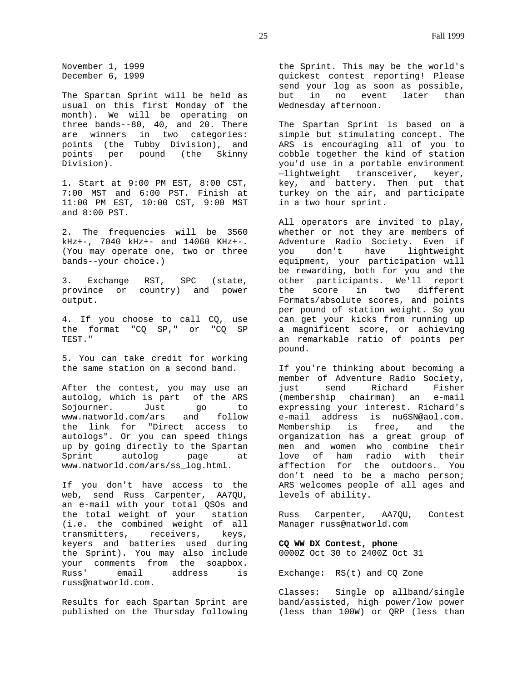November 1, 1999 December 6, 1999

The Spartan Sprint will be held as usual on this first Monday of the month). We will be operating on three bands--80, 40, and 20. There are winners in two categories: points (the Tubby Division), and points per pound (the Skinny Division).

1. Start at 9:00 PM EST, 8:00 CST, 7:00 MST and 6:00 PST. Finish at 11:00 PM EST, 10:00 CST, 9:00 MST and 8:00 PST.

2. The frequencies will be 3560 kHz+-, 7040 kHz+- and 14060 KHz+-. (You may operate one, two or three bands--your choice.)

3. Exchange RST, SPC (state, province or country) and power output.

4. If you choose to call CQ, use the format "CQ SP," or "CQ SP TEST."

5. You can take credit for working the same station on a second band.

After the contest, you may use an autolog, which is part of the ARS Sojourner. Just go to www.natworld.com/ars and follow the link for "Direct access to autologs". Or you can speed things up by going directly to the Spartan Sprint autolog page at www.natworld.com/ars/ss\_log.html.

If you don't have access to the web, send Russ Carpenter, AA7QU, an e-mail with your total QSOs and the total weight of your station (i.e. the combined weight of all transmitters, receivers, keys, keyers and batteries used during the Sprint). You may also include your comments from the soapbox. Russ' email address is russ@natworld.com.

Results for each Spartan Sprint are published on the Thursday following

the Sprint. This may be the world's quickest contest reporting! Please send your log as soon as possible, but in no event later than Wednesday afternoon.

The Spartan Sprint is based on a simple but stimulating concept. The ARS is encouraging all of you to cobble together the kind of station you'd use in a portable environment —lightweight transceiver, keyer, key, and battery. Then put that turkey on the air, and participate in a two hour sprint.

All operators are invited to play, whether or not they are members of Adventure Radio Society. Even if you don't have lightweight equipment, your participation will be rewarding, both for you and the other participants. We'll report<br>the score in two different the score in two Formats/absolute scores, and points per pound of station weight. So you can get your kicks from running up a magnificent score, or achieving an remarkable ratio of points per pound.

If you're thinking about becoming a member of Adventure Radio Society, just send Richard Fisher (membership chairman) an e-mail expressing your interest. Richard's e-mail address is nu6SN@aol.com. Membership is free, and the organization has a great group of men and women who combine their love of ham radio with their affection for the outdoors. You don't need to be a macho person; ARS welcomes people of all ages and levels of ability.

Russ Carpenter, AA7QU, Contest Manager russ@natworld.com

# **CQ WW DX Contest, phone** 0000Z Oct 30 to 2400Z Oct 31

Exchange: RS(t) and CQ Zone

Classes: Single op allband/single band/assisted, high power/low power (less than 100W) or QRP (less than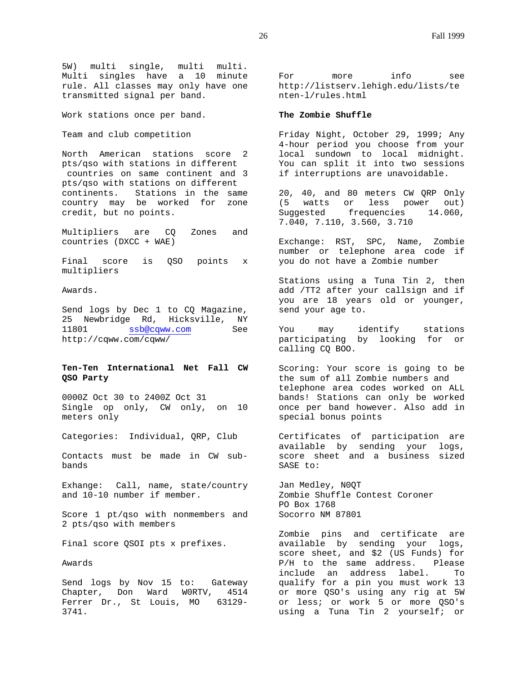5W) multi single, multi multi. Multi singles have a 10 minute rule. All classes may only have one transmitted signal per band.

Work stations once per band.

Team and club competition

North American stations score 2 pts/qso with stations in different countries on same continent and 3 pts/qso with stations on different continents. Stations in the same country may be worked for zone credit, but no points.

Multipliers are CQ Zones and countries (DXCC + WAE)

Final score is QSO points x multipliers

Awards.

Send logs by Dec 1 to CQ Magazine, 25 Newbridge Rd, Hicksville, NY 11801 ssb@cqww.com See http://cqww.com/cqww/

# **Ten-Ten International Net Fall CW QSO Party**

0000Z Oct 30 to 2400Z Oct 31 Single op only, CW only, on 10 meters only

Categories: Individual, QRP, Club

Contacts must be made in CW subbands

Exhange: Call, name, state/country and 10-10 number if member.

Score 1 pt/qso with nonmembers and 2 pts/qso with members

Final score QSOI pts x prefixes.

Awards

Send logs by Nov 15 to: Gateway Chapter, Don Ward W0RTV, 4514 Ferrer Dr., St Louis, MO 63129-3741.

For more info see http://listserv.lehigh.edu/lists/te nten-l/rules.html

## **The Zombie Shuffle**

Friday Night, October 29, 1999; Any 4-hour period you choose from your local sundown to local midnight. You can split it into two sessions if interruptions are unavoidable.

20, 40, and 80 meters CW QRP Only (5 watts or less power out)<br>Suggested frequencies 14.060, frequencies 14.060, 7.040, 7.110, 3.560, 3.710

Exchange: RST, SPC, Name, Zombie number or telephone area code if you do not have a Zombie number

Stations using a Tuna Tin 2, then add /TT2 after your callsign and if you are 18 years old or younger, send your age to.

You may identify stations participating by looking for or calling CQ BOO.

Scoring: Your score is going to be the sum of all Zombie numbers and telephone area codes worked on ALL bands! Stations can only be worked once per band however. Also add in special bonus points

Certificates of participation are available by sending your logs, score sheet and a business sized SASE to:

Jan Medley, N0QT Zombie Shuffle Contest Coroner PO Box 1768 Socorro NM 87801

Zombie pins and certificate are available by sending your logs, score sheet, and \$2 (US Funds) for P/H to the same address. Please include an address label. To qualify for a pin you must work 13 or more QSO's using any rig at 5W or less; or work 5 or more QSO's using a Tuna Tin 2 yourself; or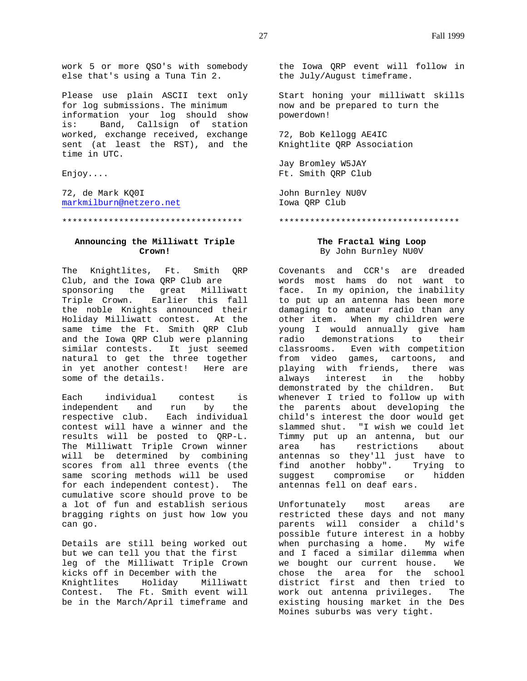work 5 or more QSO's with somebody else that's using a Tuna Tin 2.

Please use plain ASCII text only for log submissions. The minimum information your log should show is: Band, Callsign of station worked, exchange received, exchange sent (at least the RST), and the time in UTC.

Enjoy....

72, de Mark KQ0I markmilburn@netzero.net

\*\*\*\*\*\*\*\*\*\*\*\*\*\*\*\*\*\*\*\*\*\*\*\*\*\*\*\*\*\*\*\*\*\*\*

## **Announcing the Milliwatt Triple Crown!**

The Knightlites, Ft. Smith QRP Club, and the Iowa QRP Club are sponsoring the great Milliwatt Triple Crown. Earlier this fall the noble Knights announced their Holiday Milliwatt contest. At the same time the Ft. Smith QRP Club and the Iowa QRP Club were planning similar contests. It just seemed natural to get the three together in yet another contest! Here are some of the details.

Each individual contest is independent and run by the respective club. Each individual contest will have a winner and the results will be posted to QRP-L. The Milliwatt Triple Crown winner will be determined by combining scores from all three events (the same scoring methods will be used for each independent contest). The cumulative score should prove to be a lot of fun and establish serious bragging rights on just how low you can go.

Details are still being worked out but we can tell you that the first leg of the Milliwatt Triple Crown kicks off in December with the Knightlites Holiday Milliwatt Contest. The Ft. Smith event will be in the March/April timeframe and the Iowa QRP event will follow in the July/August timeframe.

Start honing your milliwatt skills now and be prepared to turn the powerdown!

72, Bob Kellogg AE4IC Knightlite QRP Association

Jay Bromley W5JAY Ft. Smith QRP Club

John Burnley NU0V Iowa QRP Club

#### \*\*\*\*\*\*\*\*\*\*\*\*\*\*\*\*\*\*\*\*\*\*\*\*\*\*\*\*\*\*\*\*\*\*\*

# **The Fractal Wing Loop** By John Burnley NU0V

Covenants and CCR's are dreaded words most hams do not want to face. In my opinion, the inability to put up an antenna has been more damaging to amateur radio than any other item. When my children were young I would annually give ham radio demonstrations to their classrooms. Even with competition from video games, cartoons, and playing with friends, there was always interest in the hobby demonstrated by the children. But whenever I tried to follow up with the parents about developing the child's interest the door would get slammed shut. "I wish we could let Timmy put up an antenna, but our area has restrictions about antennas so they'll just have to find another hobby". Trying to suggest compromise or hidden antennas fell on deaf ears.

Unfortunately most areas are restricted these days and not many parents will consider a child's possible future interest in a hobby when purchasing a home. My wife and I faced a similar dilemma when we bought our current house. We chose the area for the school district first and then tried to work out antenna privileges. The existing housing market in the Des Moines suburbs was very tight.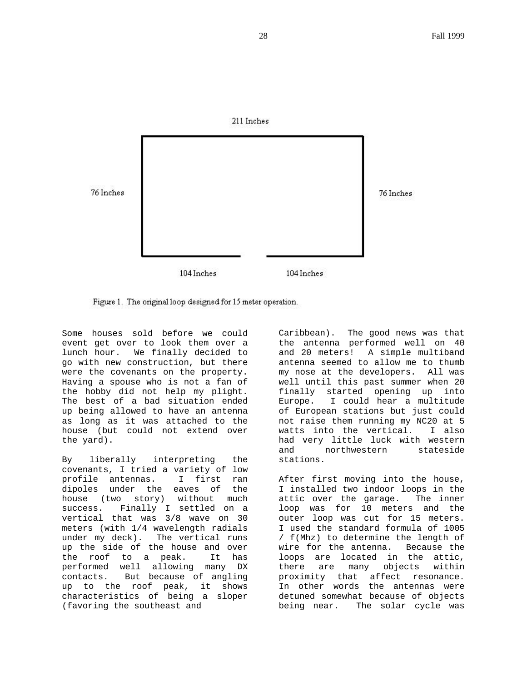

Figure 1. The original loop designed for 15 meter operation.

Some houses sold before we could event get over to look them over a lunch hour. We finally decided to go with new construction, but there were the covenants on the property. Having a spouse who is not a fan of the hobby did not help my plight. The best of a bad situation ended up being allowed to have an antenna as long as it was attached to the house (but could not extend over the yard).

By liberally interpreting the covenants, I tried a variety of low profile antennas. I first ran dipoles under the eaves of the house (two story) without much success. Finally I settled on a vertical that was 3/8 wave on 30 meters (with 1/4 wavelength radials under my deck). The vertical runs up the side of the house and over the roof to a peak. It has performed well allowing many DX contacts. But because of angling up to the roof peak, it shows characteristics of being a sloper (favoring the southeast and

Caribbean). The good news was that the antenna performed well on 40 and 20 meters! A simple multiband antenna seemed to allow me to thumb my nose at the developers. All was well until this past summer when 20 finally started opening up into Europe. I could hear a multitude of European stations but just could not raise them running my NC20 at 5 watts into the vertical. I also had very little luck with western and northwestern stateside stations.

After first moving into the house, I installed two indoor loops in the attic over the garage. The inner loop was for 10 meters and the outer loop was cut for 15 meters. I used the standard formula of 1005 / f(Mhz) to determine the length of wire for the antenna. Because the loops are located in the attic, there are many objects within<br>proximity that affect resonance. proximity that affect In other words the antennas were detuned somewhat because of objects being near. The solar cycle was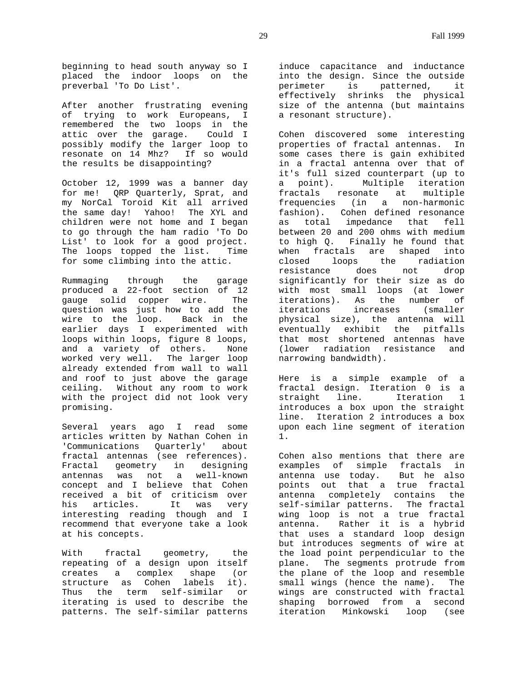beginning to head south anyway so I placed the indoor loops on the preverbal 'To Do List'.

After another frustrating evening of trying to work Europeans, I remembered the two loops in the attic over the garage. Could I possibly modify the larger loop to resonate on 14 Mhz? If so would the results be disappointing?

October 12, 1999 was a banner day for me! QRP Quarterly, Sprat, and my NorCal Toroid Kit all arrived the same day! Yahoo! The XYL and children were not home and I began to go through the ham radio 'To Do List' to look for a good project. The loops topped the list. Time for some climbing into the attic.

Rummaging through the garage produced a 22-foot section of 12 gauge solid copper wire. The question was just how to add the wire to the loop. Back in the earlier days I experimented with loops within loops, figure 8 loops, and a variety of others. None worked very well. The larger loop already extended from wall to wall and roof to just above the garage ceiling. Without any room to work with the project did not look very promising.

Several years ago I read some articles written by Nathan Cohen in 'Communications Quarterly' about fractal antennas (see references). Fractal geometry in designing antennas was not a well-known concept and I believe that Cohen received a bit of criticism over<br>his articles. It was very his articles. It was very interesting reading though and I recommend that everyone take a look at his concepts.

With fractal geometry, the repeating of a design upon itself creates a complex shape (or structure as Cohen labels it). Thus the term self-similar or iterating is used to describe the patterns. The self-similar patterns

induce capacitance and inductance into the design. Since the outside perimeter is patterned, it effectively shrinks the physical size of the antenna (but maintains a resonant structure).

Cohen discovered some interesting properties of fractal antennas. In some cases there is gain exhibited in a fractal antenna over that of it's full sized counterpart (up to a point). Multiple iteration fractals resonate at multiple frequencies (in a non-harmonic fashion). Cohen defined resonance as total impedance that fell between 20 and 200 ohms with medium to high Q. Finally he found that when fractals are shaped into closed loops the radiation resistance does not drop significantly for their size as do with most small loops (at lower iterations). As the number of iterations increases (smaller physical size), the antenna will eventually exhibit the pitfalls that most shortened antennas have (lower radiation resistance and narrowing bandwidth).

Here is a simple example of a fractal design. Iteration 0 is a straight line. Iteration 1 introduces a box upon the straight line. Iteration 2 introduces a box upon each line segment of iteration 1.

Cohen also mentions that there are examples of simple fractals in antenna use today. But he also points out that a true fractal antenna completely contains the self-similar patterns. The fractal wing loop is not a true fractal antenna. Rather it is a hybrid that uses a standard loop design but introduces segments of wire at the load point perpendicular to the plane. The segments protrude from the plane of the loop and resemble small wings (hence the name). The wings are constructed with fractal shaping borrowed from a second iteration Minkowski loop (see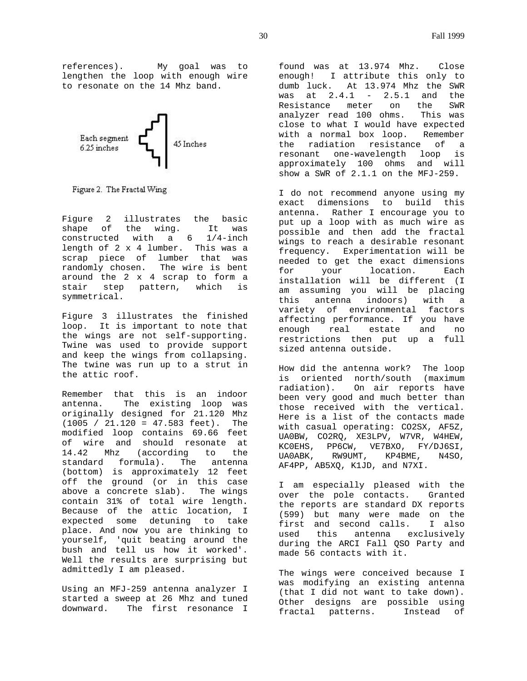references). My goal was to lengthen the loop with enough wire to resonate on the 14 Mhz band.



Figure 2. The Fractal Wing

Figure 2 illustrates the basic shape of the wing. It was constructed with a 6 1/4-inch length of 2 x 4 lumber. This was a scrap piece of lumber that was randomly chosen. The wire is bent around the 2 x 4 scrap to form a stair step pattern, which is symmetrical.

Figure 3 illustrates the finished loop. It is important to note that the wings are not self-supporting. Twine was used to provide support and keep the wings from collapsing. The twine was run up to a strut in the attic roof.

Remember that this is an indoor antenna. The existing loop was originally designed for 21.120 Mhz (1005 / 21.120 = 47.583 feet). The modified loop contains 69.66 feet of wire and should resonate at 14.42 Mhz (according to the standard formula). The antenna (bottom) is approximately 12 feet off the ground (or in this case above a concrete slab). The wings contain 31% of total wire length. Because of the attic location, I expected some detuning to take place. And now you are thinking to yourself, 'quit beating around the bush and tell us how it worked'. Well the results are surprising but admittedly I am pleased.

Using an MFJ-259 antenna analyzer I started a sweep at 26 Mhz and tuned downward. The first resonance I

found was at 13.974 Mhz. Close enough! I attribute this only to dumb luck. At 13.974 Mhz the SWR was at 2.4.1 - 2.5.1 and the Resistance meter on the SWR analyzer read 100 ohms. This was close to what I would have expected with a normal box loop. Remember the radiation resistance of a resonant one-wavelength loop is approximately 100 ohms and will show a SWR of 2.1.1 on the MFJ-259.

I do not recommend anyone using my exact dimensions to build this antenna. Rather I encourage you to put up a loop with as much wire as possible and then add the fractal wings to reach a desirable resonant frequency. Experimentation will be needed to get the exact dimensions for your location. Each installation will be different (I am assuming you will be placing<br>this antenna indoors) with a this antenna indoors) with a variety of environmental factors affecting performance. If you have enough real estate and no restrictions then put up a full sized antenna outside.

How did the antenna work? The loop is oriented north/south (maximum radiation). On air reports have been very good and much better than those received with the vertical. Here is a list of the contacts made with casual operating: CO2SX, AF5Z, UA0BW, CO2RQ, XE3LPV, W7VR, W4HEW, KC0EHS, PP6CW, VE7BXO, FY/DJ6SI, UA0ABK, RW9UMT, KP4BME, N4SO, AF4PP, AB5XQ, K1JD, and N7XI.

I am especially pleased with the over the pole contacts. Granted the reports are standard DX reports (599) but many were made on the first and second calls. I also used this antenna exclusively during the ARCI Fall QSO Party and made 56 contacts with it.

The wings were conceived because I was modifying an existing antenna (that I did not want to take down). Other designs are possible using fractal patterns. Instead of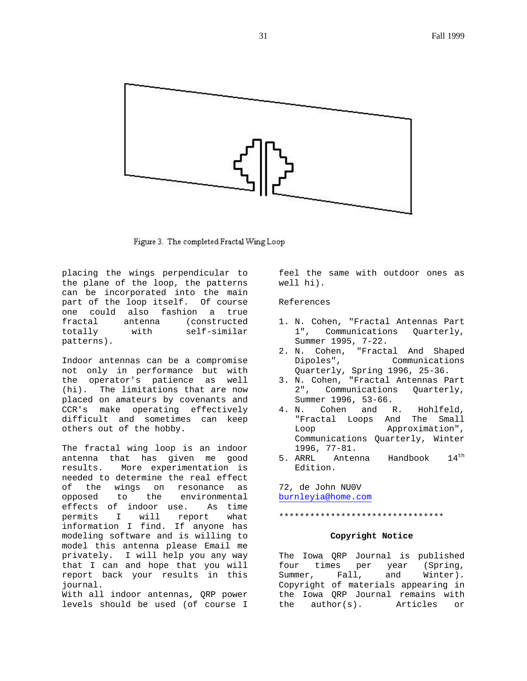

Figure 3. The completed Fractal Wing Loop

placing the wings perpendicular to the plane of the loop, the patterns can be incorporated into the main part of the loop itself. Of course one could also fashion a true fractal antenna (constructed totally with self-similar patterns).

Indoor antennas can be a compromise not only in performance but with the operator's patience as well (hi). The limitations that are now placed on amateurs by covenants and CCR's make operating effectively difficult and sometimes can keep others out of the hobby.

The fractal wing loop is an indoor antenna that has given me good More experimentation is needed to determine the real effect of the wings on resonance as opposed to the environmental effects of indoor use. As time permits I will report what information I find. If anyone has modeling software and is willing to model this antenna please Email me privately. I will help you any way that I can and hope that you will report back your results in this journal.

With all indoor antennas, QRP power levels should be used (of course I feel the same with outdoor ones as well hi).

# References

- 1. N. Cohen, "Fractal Antennas Part 1", Communications Quarterly, Summer 1995, 7-22.
- 2. N. Cohen, "Fractal And Shaped Dipoles", Communications Quarterly, Spring 1996, 25-36.
- 3. N. Cohen, "Fractal Antennas Part 2", Communications Quarterly, Summer 1996, 53-66.
- 4. N. Cohen and R. Hohlfeld, "Fractal Loops And The Small Loop Approximation", Communications Quarterly, Winter 1996, 77-81.<br>5. ARRL Anter
- Antenna Handbook 14<sup>th</sup> Edition.

72, de John NU0V burnleyia@home.com

\*\*\*\*\*\*\*\*\*\*\*\*\*\*\*\*\*\*\*\*\*\*\*\*\*\*\*\*\*\*\*\*

# **Copyright Notice**

The Iowa QRP Journal is published four times per year (Spring, Summer, Fall, and Winter). Copyright of materials appearing in the Iowa QRP Journal remains with the author(s). Articles or